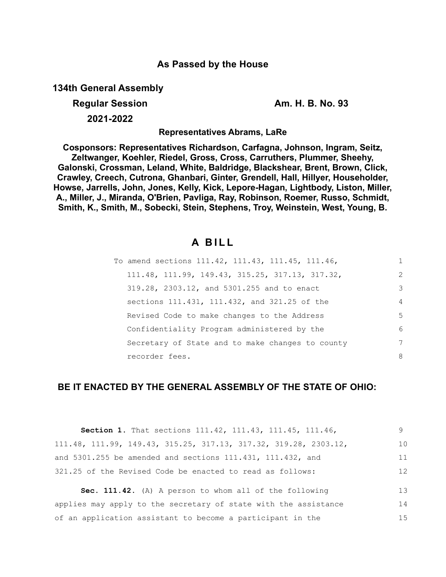## **As Passed by the House**

**134th General Assembly**

## **Regular Session Am. H. B. No. 93**

**2021-2022**

**Representatives Abrams, LaRe**

**Cosponsors: Representatives Richardson, Carfagna, Johnson, Ingram, Seitz, Zeltwanger, Koehler, Riedel, Gross, Cross, Carruthers, Plummer, Sheehy, Galonski, Crossman, Leland, White, Baldridge, Blackshear, Brent, Brown, Click, Crawley, Creech, Cutrona, Ghanbari, Ginter, Grendell, Hall, Hillyer, Householder, Howse, Jarrells, John, Jones, Kelly, Kick, Lepore-Hagan, Lightbody, Liston, Miller, A., Miller, J., Miranda, O'Brien, Pavliga, Ray, Robinson, Roemer, Russo, Schmidt, Smith, K., Smith, M., Sobecki, Stein, Stephens, Troy, Weinstein, West, Young, B.**

# **A B I L L**

| To amend sections 111.42, 111.43, 111.45, 111.46, |                |
|---------------------------------------------------|----------------|
| 111.48, 111.99, 149.43, 315.25, 317.13, 317.32,   | 2              |
| 319.28, 2303.12, and 5301.255 and to enact        | 3              |
| sections 111.431, 111.432, and 321.25 of the      | $\overline{4}$ |
| Revised Code to make changes to the Address       | .5             |
| Confidentiality Program administered by the       | 6              |
| Secretary of State and to make changes to county  | 7              |
| recorder fees.                                    | 8              |

## **BE IT ENACTED BY THE GENERAL ASSEMBLY OF THE STATE OF OHIO:**

| Section 1. That sections 111.42, 111.43, 111.45, 111.46,                                 | 9  |
|------------------------------------------------------------------------------------------|----|
| $111.48$ , $111.99$ , $149.43$ , $315.25$ , $317.13$ , $317.32$ , $319.28$ , $2303.12$ , | 10 |
| and $5301.255$ be amended and sections $111.431$ , $111.432$ , and                       | 11 |
| 321.25 of the Revised Code be enacted to read as follows:                                | 12 |
| Sec. 111.42. (A) A person to whom all of the following                                   | 13 |
| applies may apply to the secretary of state with the assistance                          | 14 |
| of an application assistant to become a participant in the                               | 15 |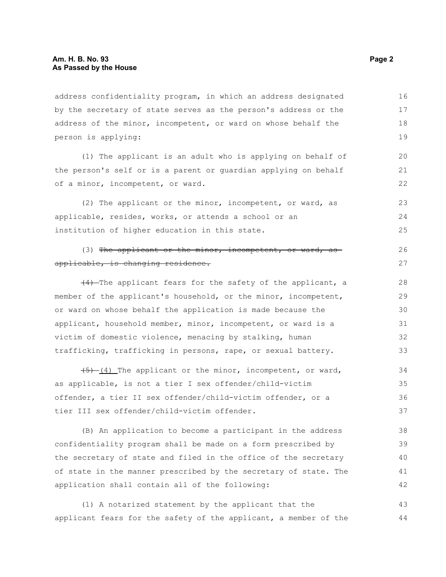address confidentiality program, in which an address designated by the secretary of state serves as the person's address or the address of the minor, incompetent, or ward on whose behalf the person is applying: 16 17 18 19

(1) The applicant is an adult who is applying on behalf of the person's self or is a parent or guardian applying on behalf of a minor, incompetent, or ward.

(2) The applicant or the minor, incompetent, or ward, as applicable, resides, works, or attends a school or an institution of higher education in this state. 23 24 25

#### (3) The applicant or the minor, incompetent, or ward, as applicable, is changing residence. 26 27

(4) The applicant fears for the safety of the applicant, a member of the applicant's household, or the minor, incompetent, or ward on whose behalf the application is made because the applicant, household member, minor, incompetent, or ward is a victim of domestic violence, menacing by stalking, human trafficking, trafficking in persons, rape, or sexual battery. 28 29 30 31 32 33

 $(4)$  The applicant or the minor, incompetent, or ward, as applicable, is not a tier I sex offender/child-victim offender, a tier II sex offender/child-victim offender, or a tier III sex offender/child-victim offender. 34 35 36 37

(B) An application to become a participant in the address confidentiality program shall be made on a form prescribed by the secretary of state and filed in the office of the secretary of state in the manner prescribed by the secretary of state. The application shall contain all of the following: 38 39 40 41 42

(1) A notarized statement by the applicant that the applicant fears for the safety of the applicant, a member of the 43 44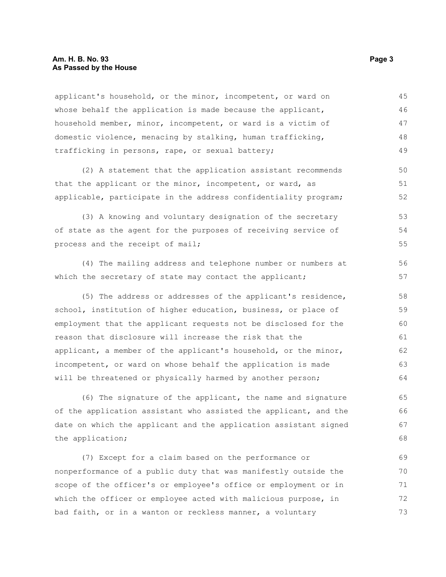#### **Am. H. B. No. 93** Page 3 **As Passed by the House**

applicant's household, or the minor, incompetent, or ward on whose behalf the application is made because the applicant, household member, minor, incompetent, or ward is a victim of domestic violence, menacing by stalking, human trafficking, trafficking in persons, rape, or sexual battery; 45 46 47 48 49

(2) A statement that the application assistant recommends that the applicant or the minor, incompetent, or ward, as applicable, participate in the address confidentiality program;

(3) A knowing and voluntary designation of the secretary of state as the agent for the purposes of receiving service of process and the receipt of mail; 53 54 55

(4) The mailing address and telephone number or numbers at which the secretary of state may contact the applicant;

(5) The address or addresses of the applicant's residence, school, institution of higher education, business, or place of employment that the applicant requests not be disclosed for the reason that disclosure will increase the risk that the applicant, a member of the applicant's household, or the minor, incompetent, or ward on whose behalf the application is made will be threatened or physically harmed by another person; 59

(6) The signature of the applicant, the name and signature of the application assistant who assisted the applicant, and the date on which the applicant and the application assistant signed the application; 65 66 67 68

(7) Except for a claim based on the performance or nonperformance of a public duty that was manifestly outside the scope of the officer's or employee's office or employment or in which the officer or employee acted with malicious purpose, in bad faith, or in a wanton or reckless manner, a voluntary 69 70 71 72 73

50 51 52

56 57

58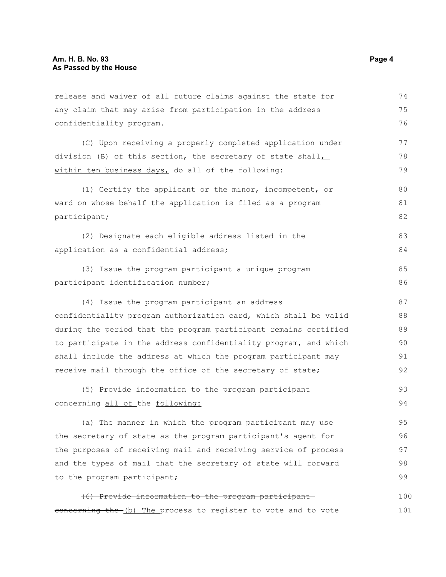| release and waiver of all future claims against the state for    | 74  |
|------------------------------------------------------------------|-----|
| any claim that may arise from participation in the address       | 75  |
| confidentiality program.                                         | 76  |
| (C) Upon receiving a properly completed application under        | 77  |
| division (B) of this section, the secretary of state shall       | 78  |
| within ten business days, do all of the following:               | 79  |
| (1) Certify the applicant or the minor, incompetent, or          | 80  |
| ward on whose behalf the application is filed as a program       | 81  |
| participant;                                                     | 82  |
| (2) Designate each eligible address listed in the                | 83  |
| application as a confidential address;                           | 84  |
| (3) Issue the program participant a unique program               | 85  |
| participant identification number;                               | 86  |
| (4) Issue the program participant an address                     | 87  |
| confidentiality program authorization card, which shall be valid | 88  |
| during the period that the program participant remains certified | 89  |
| to participate in the address confidentiality program, and which | 90  |
| shall include the address at which the program participant may   | 91  |
| receive mail through the office of the secretary of state;       | 92  |
| (5) Provide information to the program participant               | 93  |
| concerning all of the following:                                 | 94  |
| (a) The manner in which the program participant may use          | 95  |
| the secretary of state as the program participant's agent for    | 96  |
| the purposes of receiving mail and receiving service of process  | 97  |
| and the types of mail that the secretary of state will forward   | 98  |
| to the program participant;                                      | 99  |
| (6) Provide information to the program participant               | 100 |
| eoncerning the (b) The process to register to vote and to vote   | 101 |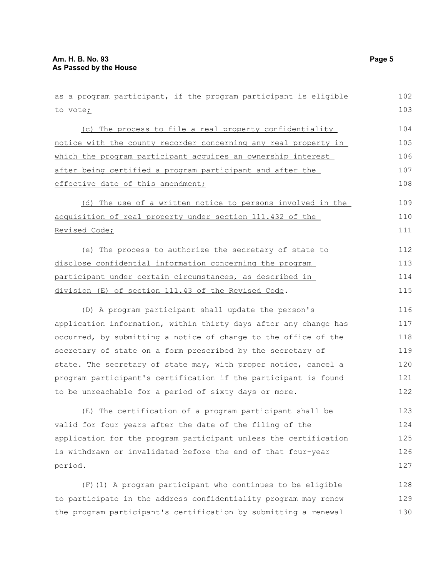as a program participant, if the program participant is eligible to vote; (c) The process to file a real property confidentiality notice with the county recorder concerning any real property in which the program participant acquires an ownership interest after being certified a program participant and after the effective date of this amendment; (d) The use of a written notice to persons involved in the acquisition of real property under section 111.432 of the Revised Code; (e) The process to authorize the secretary of state to disclose confidential information concerning the program participant under certain circumstances, as described in division (E) of section 111.43 of the Revised Code. (D) A program participant shall update the person's application information, within thirty days after any change has occurred, by submitting a notice of change to the office of the secretary of state on a form prescribed by the secretary of state. The secretary of state may, with proper notice, cancel a program participant's certification if the participant is found to be unreachable for a period of sixty days or more. (E) The certification of a program participant shall be valid for four years after the date of the filing of the application for the program participant unless the certification is withdrawn or invalidated before the end of that four-year period. 102 103 104 105 106 107 108 109 110 111 112 113 114 115 116 117 118 119 120 121 122 123 124 125 126 127

(F)(1) A program participant who continues to be eligible to participate in the address confidentiality program may renew the program participant's certification by submitting a renewal 128 129 130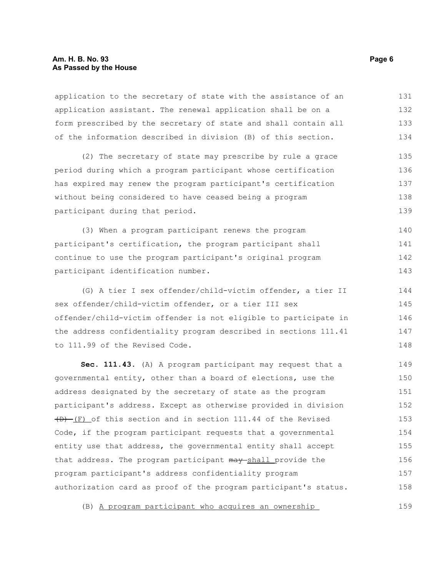#### **Am. H. B. No. 93** Page 6 **As Passed by the House**

application to the secretary of state with the assistance of an application assistant. The renewal application shall be on a form prescribed by the secretary of state and shall contain all of the information described in division (B) of this section. 131 132 133 134

(2) The secretary of state may prescribe by rule a grace period during which a program participant whose certification has expired may renew the program participant's certification without being considered to have ceased being a program participant during that period. 135 136 137 138 139

(3) When a program participant renews the program participant's certification, the program participant shall continue to use the program participant's original program participant identification number. 140 141 142 143

(G) A tier I sex offender/child-victim offender, a tier II sex offender/child-victim offender, or a tier III sex offender/child-victim offender is not eligible to participate in the address confidentiality program described in sections 111.41 to 111.99 of the Revised Code. 144 145 146 147 148

**Sec. 111.43.** (A) A program participant may request that a governmental entity, other than a board of elections, use the address designated by the secretary of state as the program participant's address. Except as otherwise provided in division  $(D)$  (F) of this section and in section 111.44 of the Revised Code, if the program participant requests that a governmental entity use that address, the governmental entity shall accept that address. The program participant  $m$ ay shall provide the program participant's address confidentiality program authorization card as proof of the program participant's status. 149 150 151 152 153 154 155 156 157 158

(B) A program participant who acquires an ownership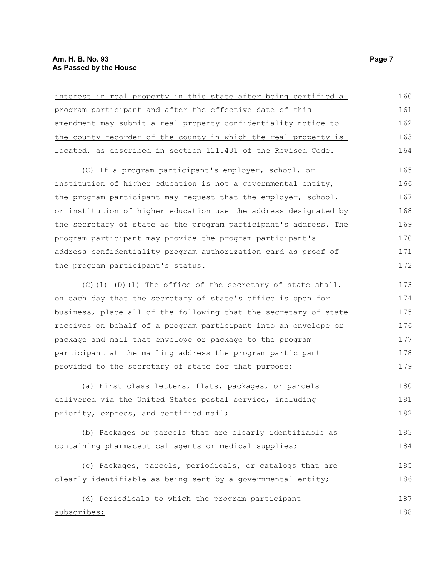| interest in real property in this state after being certified a                | 160 |
|--------------------------------------------------------------------------------|-----|
| program participant and after the effective date of this                       | 161 |
| amendment may submit a real property confidentiality notice to                 | 162 |
| the county recorder of the county in which the real property is                | 163 |
| located, as described in section 111.431 of the Revised Code.                  | 164 |
| (C) If a program participant's employer, school, or                            | 165 |
| institution of higher education is not a governmental entity,                  | 166 |
| the program participant may request that the employer, school,                 | 167 |
| or institution of higher education use the address designated by               | 168 |
| the secretary of state as the program participant's address. The               | 169 |
| program participant may provide the program participant's                      | 170 |
| address confidentiality program authorization card as proof of                 | 171 |
| the program participant's status.                                              | 172 |
| $\left(\frac{1}{2}\right)$ (1) (1) The office of the secretary of state shall, | 173 |
| on each day that the secretary of state's office is open for                   | 174 |
| business, place all of the following that the secretary of state               | 175 |
| receives on behalf of a program participant into an envelope or                | 176 |
| package and mail that envelope or package to the program                       | 177 |
| participant at the mailing address the program participant                     | 178 |
| provided to the secretary of state for that purpose:                           | 179 |
| (a) First class letters, flats, packages, or parcels                           | 180 |
| delivered via the United States postal service, including                      | 181 |
| priority, express, and certified mail;                                         | 182 |
| (b) Packages or parcels that are clearly identifiable as                       | 183 |

(c) Packages, parcels, periodicals, or catalogs that are clearly identifiable as being sent by a governmental entity; 185 186

containing pharmaceutical agents or medical supplies;

(d) Periodicals to which the program participant subscribes; 187 188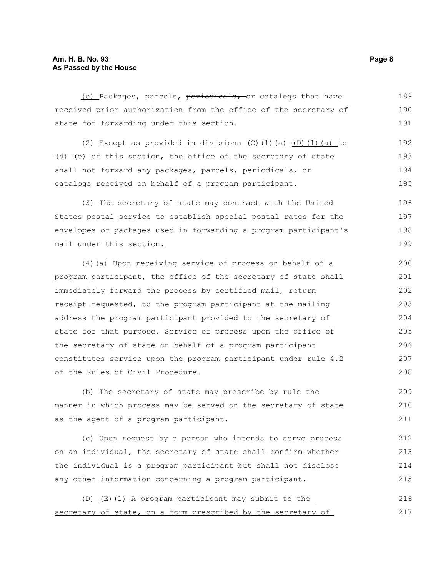### **Am. H. B. No. 93** Page 8 **As Passed by the House**

(e) Packages, parcels, periodicals, or catalogs that have received prior authorization from the office of the secretary of state for forwarding under this section. 189 190 191

(2) Except as provided in divisions  $\left(\frac{C}{1}\right)\left(\frac{1}{a}\right)$  (1)(a) to (d) (e) of this section, the office of the secretary of state shall not forward any packages, parcels, periodicals, or catalogs received on behalf of a program participant. 192 193 194 195

(3) The secretary of state may contract with the United States postal service to establish special postal rates for the envelopes or packages used in forwarding a program participant's mail under this section. 196 197 198 199

(4)(a) Upon receiving service of process on behalf of a program participant, the office of the secretary of state shall immediately forward the process by certified mail, return receipt requested, to the program participant at the mailing address the program participant provided to the secretary of state for that purpose. Service of process upon the office of the secretary of state on behalf of a program participant constitutes service upon the program participant under rule 4.2 of the Rules of Civil Procedure.

(b) The secretary of state may prescribe by rule the manner in which process may be served on the secretary of state as the agent of a program participant. 209 210 211

(c) Upon request by a person who intends to serve process on an individual, the secretary of state shall confirm whether the individual is a program participant but shall not disclose any other information concerning a program participant. 212 213 214 215

 $(D)$  (E)(1) A program participant may submit to the secretary of state, on a form prescribed by the secretary of 216 217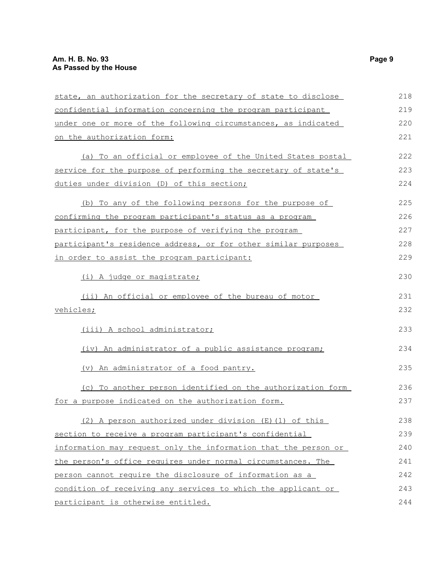| state, an authorization for the secretary of state to disclose  | 218 |
|-----------------------------------------------------------------|-----|
| confidential information concerning the program participant     |     |
| under one or more of the following circumstances, as indicated  |     |
| on the authorization form:                                      | 221 |
| (a) To an official or employee of the United States postal      | 222 |
| service for the purpose of performing the secretary of state's  | 223 |
| duties under division (D) of this section;                      | 224 |
| (b) To any of the following persons for the purpose of          | 225 |
| confirming the program participant's status as a program        | 226 |
| participant, for the purpose of verifying the program           | 227 |
| participant's residence address, or for other similar purposes  | 228 |
| in order to assist the program participant:                     | 229 |
| (i) A judge or magistrate;                                      | 230 |
| (ii) An official or employee of the bureau of motor             | 231 |
| vehicles;                                                       | 232 |
| (iii) A school administrator;                                   | 233 |
| (iv) An administrator of a public assistance program;           | 234 |
| (v) An administrator of a food pantry.                          | 235 |
| (c) To another person identified on the authorization form      | 236 |
| for a purpose indicated on the authorization form.              | 237 |
| (2) A person authorized under division (E) (1) of this          | 238 |
| section to receive a program participant's confidential         | 239 |
| information may request only the information that the person or | 240 |
| the person's office requires under normal circumstances. The    | 241 |
| person cannot require the disclosure of information as a        | 242 |
| condition of receiving any services to which the applicant or   | 243 |
| participant is otherwise entitled.                              | 244 |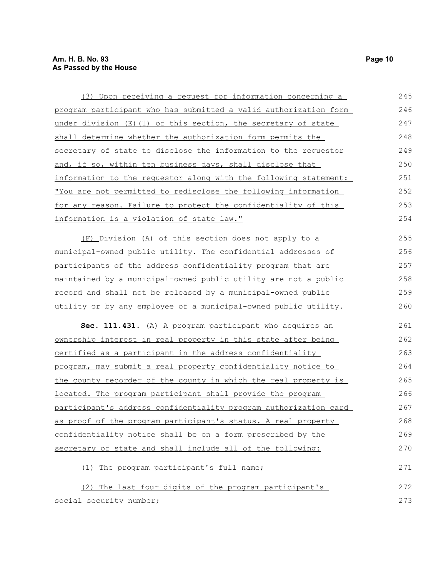| (3) Upon receiving a request for information concerning a        | 245 |
|------------------------------------------------------------------|-----|
| program participant who has submitted a valid authorization form | 246 |
| under division (E) (1) of this section, the secretary of state   | 247 |
| shall determine whether the authorization form permits the       | 248 |
| secretary of state to disclose the information to the requestor  | 249 |
| and, if so, within ten business days, shall disclose that        | 250 |
| information to the requestor along with the following statement: | 251 |
| "You are not permitted to redisclose the following information   | 252 |
| for any reason. Failure to protect the confidentiality of this   | 253 |
| information is a violation of state law."                        | 254 |
| (F) Division (A) of this section does not apply to a             | 255 |
| municipal-owned public utility. The confidential addresses of    | 256 |
| participants of the address confidentiality program that are     | 257 |
| maintained by a municipal-owned public utility are not a public  | 258 |
| record and shall not be released by a municipal-owned public     | 259 |
| utility or by any employee of a municipal-owned public utility.  | 260 |
| Sec. 111.431. (A) A program participant who acquires an          | 261 |
| ownership interest in real property in this state after being    | 262 |
| certified as a participant in the address confidentiality        | 263 |
| program, may submit a real property confidentiality notice to    | 264 |
| the county recorder of the county in which the real property is  | 265 |
| located. The program participant shall provide the program       | 266 |
| participant's address confidentiality program authorization card | 267 |
| as proof of the program participant's status. A real property    | 268 |
| confidentiality notice shall be on a form prescribed by the      | 269 |
| secretary of state and shall include all of the following:       | 270 |
| The program participant's full name;<br>(1)                      | 271 |
| (2) The last four digits of the program participant's            | 272 |
| social security number;                                          | 273 |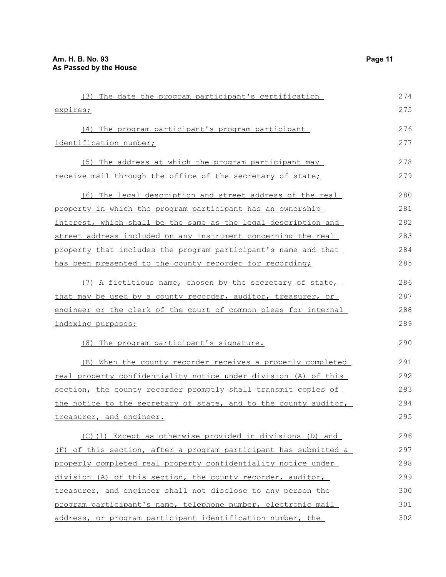| (3) The date the program participant's certification             | 274 |
|------------------------------------------------------------------|-----|
| expires;                                                         | 275 |
| (4) The program participant's program participant                | 276 |
| identification number;                                           | 277 |
|                                                                  |     |
| (5) The address at which the program participant may             | 278 |
| receive mail through the office of the secretary of state;       | 279 |
| (6) The legal description and street address of the real         | 280 |
| property in which the program participant has an ownership       | 281 |
| interest, which shall be the same as the legal description and   | 282 |
| street address included on any instrument concerning the real    | 283 |
| property that includes the program participant's name and that   | 284 |
| has been presented to the county recorder for recording;         | 285 |
| (7) A fictitious name, chosen by the secretary of state,         | 286 |
| that may be used by a county recorder, auditor, treasurer, or    | 287 |
| engineer or the clerk of the court of common pleas for internal  | 288 |
| indexing purposes;                                               | 289 |
|                                                                  |     |
| The program participant's signature.<br>(8)                      | 290 |
| (B) When the county recorder receives a properly completed       | 291 |
| real property confidentiality notice under division (A) of this  | 292 |
| section, the county recorder promptly shall transmit copies of   | 293 |
| the notice to the secretary of state, and to the county auditor, | 294 |
| treasurer, and engineer.                                         | 295 |
| (C)(1) Except as otherwise provided in divisions (D) and         | 296 |
| (F) of this section, after a program participant has submitted a | 297 |
| properly completed real property confidentiality notice under    | 298 |
| division (A) of this section, the county recorder, auditor,      | 299 |
| treasurer, and engineer shall not disclose to any person the     | 300 |
| program participant's name, telephone number, electronic mail    | 301 |
| address, or program participant identification number, the       | 302 |
|                                                                  |     |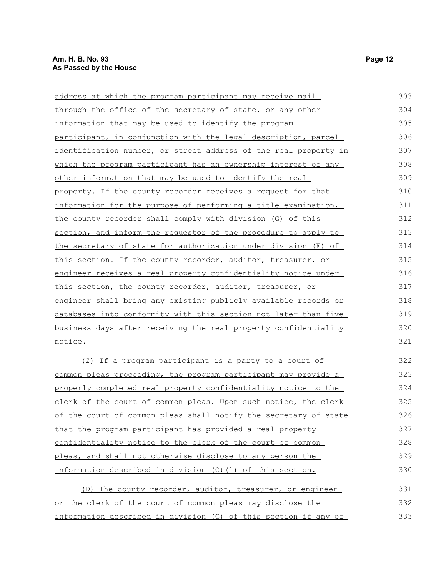| address at which the program participant may receive mail        | 303 |
|------------------------------------------------------------------|-----|
| through the office of the secretary of state, or any other       | 304 |
| information that may be used to identify the program             | 305 |
| participant, in conjunction with the legal description, parcel   | 306 |
| identification number, or street address of the real property in | 307 |
| which the program participant has an ownership interest or any   | 308 |
| other information that may be used to identify the real          | 309 |
| property. If the county recorder receives a request for that     | 310 |
| information for the purpose of performing a title examination,   | 311 |
| the county recorder shall comply with division (G) of this       | 312 |
| section, and inform the requestor of the procedure to apply to   | 313 |
| the secretary of state for authorization under division (E) of   | 314 |
| this section. If the county recorder, auditor, treasurer, or     | 315 |
| engineer receives a real property confidentiality notice under   | 316 |
| this section, the county recorder, auditor, treasurer, or        | 317 |
| engineer shall bring any existing publicly available records or  | 318 |
| databases into conformity with this section not later than five  | 319 |
| business days after receiving the real property confidentiality  | 320 |
| notice.                                                          | 321 |
| (2) If a program participant is a party to a court of            | 322 |
| common pleas proceeding, the program participant may provide a   | 323 |
| properly completed real property confidentiality notice to the   | 324 |
| clerk of the court of common pleas. Upon such notice, the clerk  | 325 |
| of the court of common pleas shall notify the secretary of state | 326 |
| that the program participant has provided a real property        | 327 |
| confidentiality notice to the clerk of the court of common       | 328 |
| pleas, and shall not otherwise disclose to any person the        | 329 |
| information described in division (C) (1) of this section.       | 330 |
| (D) The county recorder, auditor, treasurer, or engineer         | 331 |
| or the clerk of the court of common pleas may disclose the       | 332 |
| information described in division (C) of this section if any of  | 333 |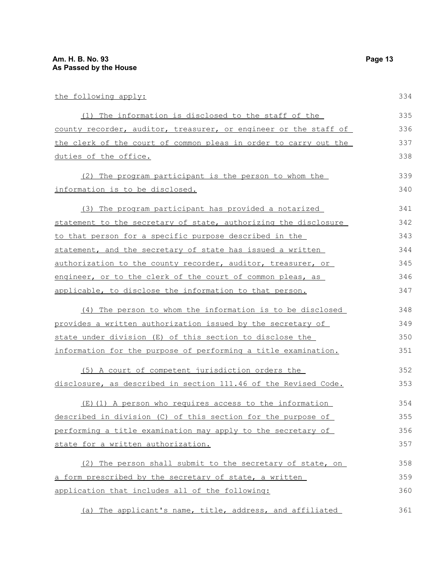| the following apply:                                             | 334 |
|------------------------------------------------------------------|-----|
| (1) The information is disclosed to the staff of the             | 335 |
| county recorder, auditor, treasurer, or engineer or the staff of | 336 |
| the clerk of the court of common pleas in order to carry out the | 337 |
| duties of the office.                                            | 338 |
| (2) The program participant is the person to whom the            | 339 |
| information is to be disclosed.                                  | 340 |
| (3) The program participant has provided a notarized             | 341 |
| statement to the secretary of state, authorizing the disclosure  | 342 |
| to that person for a specific purpose described in the           | 343 |
| statement, and the secretary of state has issued a written       | 344 |
| authorization to the county recorder, auditor, treasurer, or     | 345 |
| engineer, or to the clerk of the court of common pleas, as       | 346 |
| applicable, to disclose the information to that person.          | 347 |
| (4) The person to whom the information is to be disclosed        | 348 |
| provides a written authorization issued by the secretary of      | 349 |
| state under division (E) of this section to disclose the         | 350 |
| information for the purpose of performing a title examination.   | 351 |
| (5) A court of competent jurisdiction orders the                 | 352 |
| disclosure, as described in section 111.46 of the Revised Code.  | 353 |
| (E)(1) A person who requires access to the information           | 354 |
| described in division (C) of this section for the purpose of     | 355 |

(2) The person shall submit to the secretary of state, on a form prescribed by the secretary of state, a written application that includes all of the following: 358 359 360

performing a title examination may apply to the secretary of

state for a written authorization.

(a) The applicant's name, title, address, and affiliated 361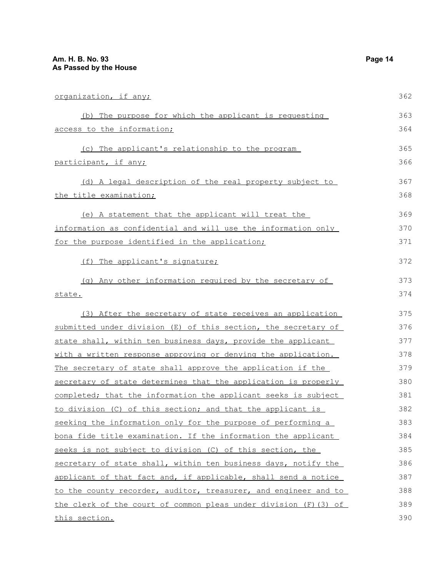| organization, if any;                                            | 362 |
|------------------------------------------------------------------|-----|
| (b) The purpose for which the applicant is requesting            | 363 |
| access to the information;                                       | 364 |
| (c) The applicant's relationship to the program                  | 365 |
| participant, if any;                                             | 366 |
| (d) A legal description of the real property subject to          | 367 |
| the title examination;                                           | 368 |
| (e) A statement that the applicant will treat the                | 369 |
| information as confidential and will use the information only    | 370 |
| for the purpose identified in the application;                   | 371 |
| (f) The applicant's signature;                                   | 372 |
| (q) Any other information required by the secretary of           | 373 |
| state.                                                           | 374 |
| (3) After the secretary of state receives an application         | 375 |
| submitted under division (E) of this section, the secretary of   | 376 |
| state shall, within ten business days, provide the applicant     | 377 |
| with a written response approving or denying the application.    | 378 |
| The secretary of state shall approve the application if the      | 379 |
| secretary of state determines that the application is properly   | 380 |
| completed; that the information the applicant seeks is subject   | 381 |
| to division (C) of this section; and that the applicant is       | 382 |
| seeking the information only for the purpose of performing a     | 383 |
| bona fide title examination. If the information the applicant    | 384 |
| seeks is not subject to division (C) of this section, the        | 385 |
| secretary of state shall, within ten business days, notify the   | 386 |
| applicant of that fact and, if applicable, shall send a notice   | 387 |
| to the county recorder, auditor, treasurer, and engineer and to  | 388 |
| the clerk of the court of common pleas under division (F) (3) of | 389 |
| this section.                                                    | 390 |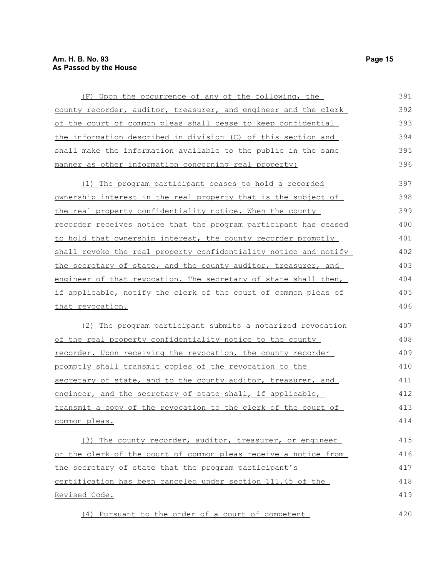## **Am. H. B. No. 93** Page 15 **As Passed by the House**

| (F) Upon the occurrence of any of the following, the             | 391 |
|------------------------------------------------------------------|-----|
| county recorder, auditor, treasurer, and engineer and the clerk  | 392 |
| of the court of common pleas shall cease to keep confidential    | 393 |
| the information described in division (C) of this section and    | 394 |
| shall make the information available to the public in the same   | 395 |
| manner as other information concerning real property:            | 396 |
| (1) The program participant ceases to hold a recorded            | 397 |
| ownership interest in the real property that is the subject of   | 398 |
| the real property confidentiality notice. When the county        | 399 |
| recorder receives notice that the program participant has ceased | 400 |
| to hold that ownership interest, the county recorder promptly    | 401 |
| shall revoke the real property confidentiality notice and notify | 402 |
| the secretary of state, and the county auditor, treasurer, and   | 403 |
| engineer of that revocation. The secretary of state shall then,  | 404 |
| if applicable, notify the clerk of the court of common pleas of  | 405 |
| <u>that revocation.</u>                                          | 406 |
| (2) The program participant submits a notarized revocation       | 407 |
| of the real property confidentiality notice to the county        | 408 |
| recorder. Upon receiving the revocation, the county recorder     | 409 |
| promptly shall transmit copies of the revocation to the          | 410 |
| secretary of state, and to the county auditor, treasurer, and    | 411 |
| engineer, and the secretary of state shall, if applicable,       | 412 |
| transmit a copy of the revocation to the clerk of the court of   | 413 |
| common pleas.                                                    | 414 |
| (3) The county recorder, auditor, treasurer, or engineer         | 415 |
| or the clerk of the court of common pleas receive a notice from  | 416 |
| the secretary of state that the program participant's            | 417 |
| certification has been canceled under section 111.45 of the      | 418 |
| Revised Code.                                                    | 419 |
| (4) Pursuant to the order of a court of competent                | 420 |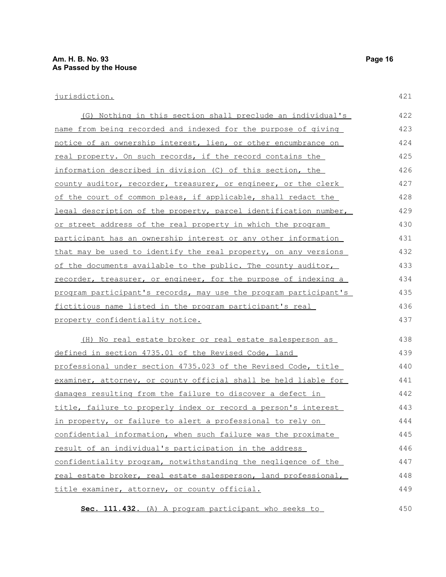## jurisdiction.

| (G) Nothing in this section shall preclude an individual's       | 422 |  |  |  |  |
|------------------------------------------------------------------|-----|--|--|--|--|
| name from being recorded and indexed for the purpose of giving   | 423 |  |  |  |  |
| notice of an ownership interest, lien, or other encumbrance on   | 424 |  |  |  |  |
| real property. On such records, if the record contains the       | 425 |  |  |  |  |
| information described in division (C) of this section, the       | 426 |  |  |  |  |
| county auditor, recorder, treasurer, or engineer, or the clerk   | 427 |  |  |  |  |
| of the court of common pleas, if applicable, shall redact the    | 428 |  |  |  |  |
| legal description of the property, parcel identification number, | 429 |  |  |  |  |
| or street address of the real property in which the program      | 430 |  |  |  |  |
| participant has an ownership interest or any other information   | 431 |  |  |  |  |
| that may be used to identify the real property, on any versions  | 432 |  |  |  |  |
| of the documents available to the public. The county auditor,    | 433 |  |  |  |  |
| recorder, treasurer, or engineer, for the purpose of indexing a  | 434 |  |  |  |  |
| program participant's records, may use the program participant's | 435 |  |  |  |  |
| fictitious name listed in the program participant's real         |     |  |  |  |  |
| property confidentiality notice.                                 | 437 |  |  |  |  |
| (H) No real estate broker or real estate salesperson as          | 438 |  |  |  |  |
| defined in section 4735.01 of the Revised Code, land             | 439 |  |  |  |  |
| professional under section 4735.023 of the Revised Code, title   | 440 |  |  |  |  |
| examiner, attorney, or county official shall be held liable for  | 441 |  |  |  |  |
| damages resulting from the failure to discover a defect in       | 442 |  |  |  |  |
| title, failure to properly index or record a person's interest   | 443 |  |  |  |  |
| in property, or failure to alert a professional to rely on       | 444 |  |  |  |  |
| confidential information, when such failure was the proximate    | 445 |  |  |  |  |
| result of an individual's participation in the address           | 446 |  |  |  |  |
| confidentiality program, notwithstanding the negligence of the   | 447 |  |  |  |  |
| real estate broker, real estate salesperson, land professional,  | 448 |  |  |  |  |
| title examiner, attorney, or county official.                    | 449 |  |  |  |  |
| Sec. 111.432. (A) A program participant who seeks to             | 450 |  |  |  |  |

**Sec. 111.432.** (A) A program participant who seeks to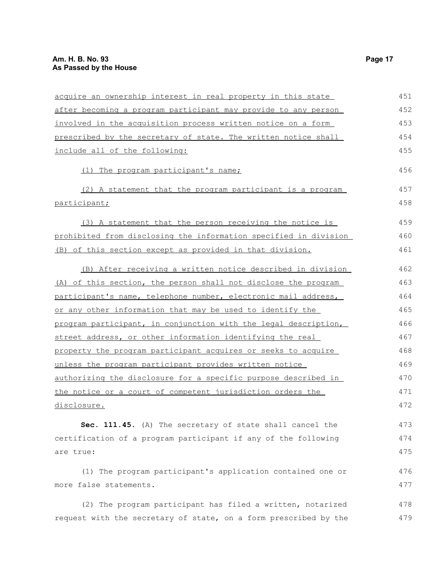| acquire an ownership interest in real property in this state     | 451 |  |  |  |  |  |
|------------------------------------------------------------------|-----|--|--|--|--|--|
| after becoming a program participant may provide to any person   | 452 |  |  |  |  |  |
| involved in the acquisition process written notice on a form     |     |  |  |  |  |  |
| prescribed by the secretary of state. The written notice shall   | 454 |  |  |  |  |  |
| include all of the following:                                    | 455 |  |  |  |  |  |
| (1) The program participant's name;                              | 456 |  |  |  |  |  |
| (2) A statement that the program participant is a program        | 457 |  |  |  |  |  |
| participant;                                                     | 458 |  |  |  |  |  |
| (3) A statement that the person receiving the notice is          | 459 |  |  |  |  |  |
| prohibited from disclosing the information specified in division | 460 |  |  |  |  |  |
| (B) of this section except as provided in that division.         | 461 |  |  |  |  |  |
| (B) After receiving a written notice described in division       | 462 |  |  |  |  |  |
| (A) of this section, the person shall not disclose the program   | 463 |  |  |  |  |  |
| participant's name, telephone number, electronic mail address,   | 464 |  |  |  |  |  |
| or any other information that may be used to identify the        |     |  |  |  |  |  |
| program participant, in conjunction with the legal description,  |     |  |  |  |  |  |
| street address, or other information identifying the real        | 467 |  |  |  |  |  |
| property the program participant acquires or seeks to acquire    | 468 |  |  |  |  |  |
| unless the program participant provides written notice           | 469 |  |  |  |  |  |
| authorizing the disclosure for a specific purpose described in   | 470 |  |  |  |  |  |
| the notice or a court of competent jurisdiction orders the       | 471 |  |  |  |  |  |
| disclosure.                                                      | 472 |  |  |  |  |  |
| Sec. 111.45. (A) The secretary of state shall cancel the         | 473 |  |  |  |  |  |
| certification of a program participant if any of the following   | 474 |  |  |  |  |  |
| are true:                                                        | 475 |  |  |  |  |  |
| (1) The program participant's application contained one or       | 476 |  |  |  |  |  |
| more false statements.                                           | 477 |  |  |  |  |  |
| (2) The program participant has filed a written, notarized       | 478 |  |  |  |  |  |
| request with the secretary of state, on a form prescribed by the | 479 |  |  |  |  |  |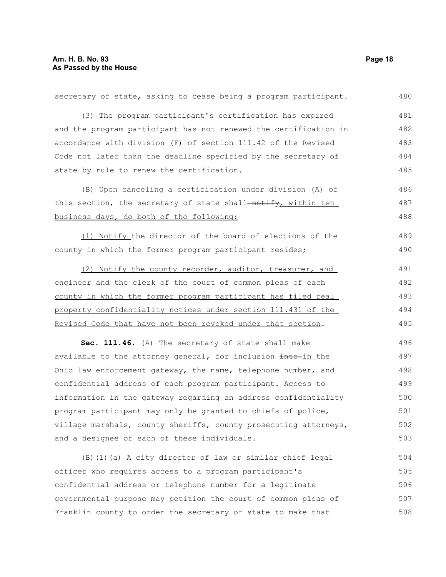| (3) The program participant's certification has expired          | 481        |  |  |  |  |  |  |  |
|------------------------------------------------------------------|------------|--|--|--|--|--|--|--|
| and the program participant has not renewed the certification in | 482        |  |  |  |  |  |  |  |
| accordance with division (F) of section 111.42 of the Revised    |            |  |  |  |  |  |  |  |
| Code not later than the deadline specified by the secretary of   |            |  |  |  |  |  |  |  |
| state by rule to renew the certification.                        | 485        |  |  |  |  |  |  |  |
| (B) Upon canceling a certification under division (A) of         | 486        |  |  |  |  |  |  |  |
| this section, the secretary of state shall-notify, within ten    |            |  |  |  |  |  |  |  |
| business days, do both of the following:                         | 487<br>488 |  |  |  |  |  |  |  |
|                                                                  |            |  |  |  |  |  |  |  |
| (1) Notify the director of the board of elections of the         | 489        |  |  |  |  |  |  |  |
| county in which the former program participant resides;          | 490        |  |  |  |  |  |  |  |
| (2) Notify the county recorder, auditor, treasurer, and          | 491        |  |  |  |  |  |  |  |
| engineer and the clerk of the court of common pleas of each      | 492        |  |  |  |  |  |  |  |
| county in which the former program participant has filed real    | 493        |  |  |  |  |  |  |  |
| property confidentiality notices under section 111.431 of the    |            |  |  |  |  |  |  |  |
| Revised Code that have not been revoked under that section.      | 495        |  |  |  |  |  |  |  |
| Sec. 111.46. (A) The secretary of state shall make               | 496        |  |  |  |  |  |  |  |
| available to the attorney general, for inclusion into in the     | 497        |  |  |  |  |  |  |  |
| Ohio law enforcement gateway, the name, telephone number, and    | 498        |  |  |  |  |  |  |  |
| confidential address of each program participant. Access to      | 499        |  |  |  |  |  |  |  |
| information in the gateway regarding an address confidentiality  | 500        |  |  |  |  |  |  |  |
| program participant may only be granted to chiefs of police,     | 501        |  |  |  |  |  |  |  |
| village marshals, county sheriffs, county prosecuting attorneys, | 502        |  |  |  |  |  |  |  |
| and a designee of each of these individuals.                     | 503        |  |  |  |  |  |  |  |
| (B) (1) (a) A city director of law or similar chief legal        | 504        |  |  |  |  |  |  |  |
| officer who requires access to a program participant's           | 505        |  |  |  |  |  |  |  |
| confidential address or telephone number for a legitimate        | 506        |  |  |  |  |  |  |  |
| governmental purpose may petition the court of common pleas of   | 507        |  |  |  |  |  |  |  |
| Franklin county to order the secretary of state to make that     | 508        |  |  |  |  |  |  |  |
|                                                                  |            |  |  |  |  |  |  |  |

secretary of state, asking to cease being a program participant.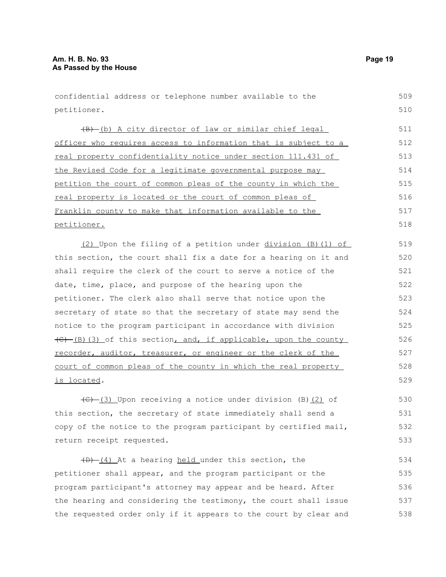confidential address or telephone number available to the petitioner. (B) (b) A city director of law or similar chief legal officer who requires access to information that is subject to a real property confidentiality notice under section 111.431 of the Revised Code for a legitimate governmental purpose may petition the court of common pleas of the county in which the real property is located or the court of common pleas of Franklin county to make that information available to the petitioner. (2) Upon the filing of a petition under division (B)(1) of this section, the court shall fix a date for a hearing on it and shall require the clerk of the court to serve a notice of the date, time, place, and purpose of the hearing upon the petitioner. The clerk also shall serve that notice upon the secretary of state so that the secretary of state may send the notice to the program participant in accordance with division  $\left(\frac{C}{D}\right)$ (3) of this section, and, if applicable, upon the county 509 510 511 512 513 514 515 516 517 518 519 520 521 522 523 524 525 526

recorder, auditor, treasurer, or engineer or the clerk of the court of common pleas of the county in which the real property is located.

 $\left(\frac{C}{C}\right)$  (3) Upon receiving a notice under division (B)(2) of this section, the secretary of state immediately shall send a copy of the notice to the program participant by certified mail, return receipt requested.

 $(D)$   $(4)$  At a hearing held under this section, the petitioner shall appear, and the program participant or the program participant's attorney may appear and be heard. After the hearing and considering the testimony, the court shall issue the requested order only if it appears to the court by clear and 534 535 536 537 538

527 528 529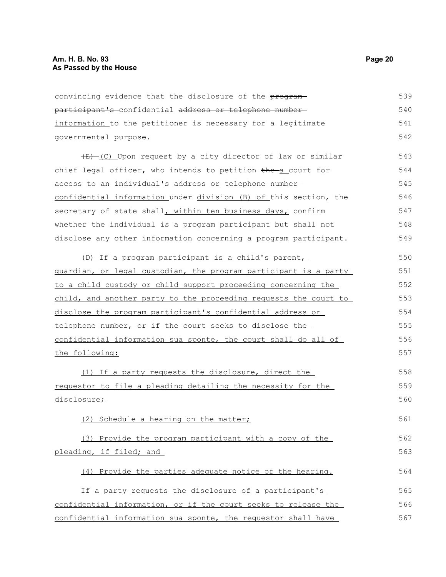| convincing evidence that the disclosure of the program-          | 539 |
|------------------------------------------------------------------|-----|
| participant's confidential address or telephone number           | 540 |
| information to the petitioner is necessary for a legitimate      | 541 |
| governmental purpose.                                            | 542 |
| (E) (C) Upon request by a city director of law or similar        | 543 |
| chief legal officer, who intends to petition the a court for     | 544 |
| access to an individual's address or telephone number-           | 545 |
| confidential information under division (B) of this section, the | 546 |
| secretary of state shall, within ten business days, confirm      | 547 |
| whether the individual is a program participant but shall not    | 548 |
| disclose any other information concerning a program participant. | 549 |
| (D) If a program participant is a child's parent,                | 550 |
| guardian, or legal custodian, the program participant is a party | 551 |
| to a child custody or child support proceeding concerning the    | 552 |
| child, and another party to the proceeding requests the court to | 553 |
| disclose the program participant's confidential address or       | 554 |
| telephone number, or if the court seeks to disclose the          | 555 |
| confidential information sua sponte, the court shall do all of   | 556 |
| the following:                                                   | 557 |
| (1) If a party requests the disclosure, direct the               | 558 |
| requestor to file a pleading detailing the necessity for the     | 559 |
| disclosure;                                                      | 560 |
| (2) Schedule a hearing on the matter;                            | 561 |
| (3) Provide the program participant with a copy of the           | 562 |
| pleading, if filed; and                                          | 563 |
| (4) Provide the parties adequate notice of the hearing.          | 564 |
| If a party requests the disclosure of a participant's            | 565 |
| confidential information, or if the court seeks to release the   | 566 |
| confidential information sua sponte, the requestor shall have    | 567 |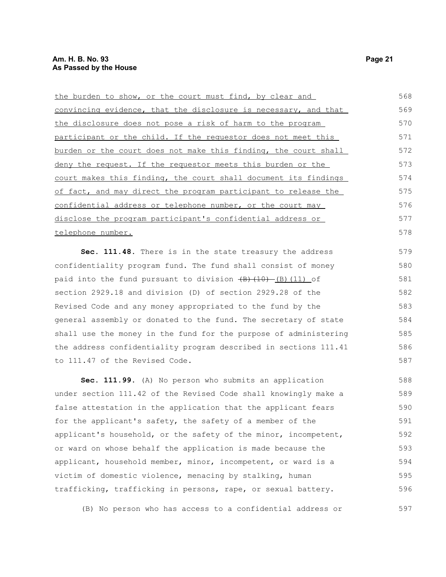| the burden to show, or the court must find, by clear and        | 568 |
|-----------------------------------------------------------------|-----|
| convincing evidence, that the disclosure is necessary, and that | 569 |
| the disclosure does not pose a risk of harm to the program      | 570 |
| participant or the child. If the requestor does not meet this   | 571 |
| burden or the court does not make this finding, the court shall | 572 |
| deny the request. If the requestor meets this burden or the     | 573 |
| court makes this finding, the court shall document its findings | 574 |
| of fact, and may direct the program participant to release the  | 575 |
| confidential address or telephone number, or the court may      | 576 |
| disclose the program participant's confidential address or      | 577 |
| telephone number.                                               | 578 |

Sec. 111.48. There is in the state treasury the address confidentiality program fund. The fund shall consist of money paid into the fund pursuant to division  $\left(\frac{B}{B}\right)\left(\frac{10}{10}\right)$  of section 2929.18 and division (D) of section 2929.28 of the Revised Code and any money appropriated to the fund by the general assembly or donated to the fund. The secretary of state shall use the money in the fund for the purpose of administering the address confidentiality program described in sections 111.41 to 111.47 of the Revised Code.

**Sec. 111.99.** (A) No person who submits an application under section 111.42 of the Revised Code shall knowingly make a false attestation in the application that the applicant fears for the applicant's safety, the safety of a member of the applicant's household, or the safety of the minor, incompetent, or ward on whose behalf the application is made because the applicant, household member, minor, incompetent, or ward is a victim of domestic violence, menacing by stalking, human trafficking, trafficking in persons, rape, or sexual battery. 588 589 590 591 592 593 594 595 596

(B) No person who has access to a confidential address or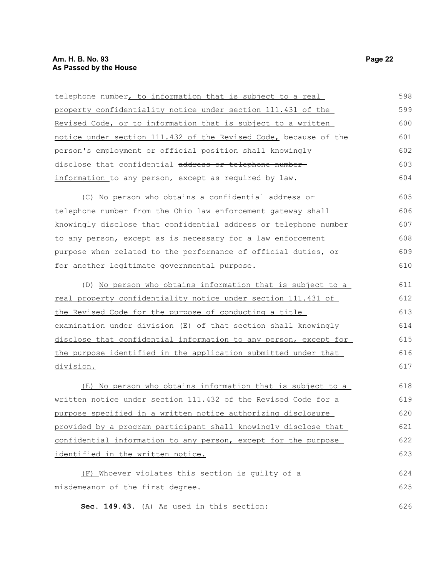#### **Am. H. B. No. 93 Page 22 As Passed by the House**

| telephone number, to information that is subject to a real       |     |  |  |  |  |  |
|------------------------------------------------------------------|-----|--|--|--|--|--|
| property confidentiality notice under section 111.431 of the     |     |  |  |  |  |  |
| Revised Code, or to information that is subject to a written     |     |  |  |  |  |  |
| notice under section 111.432 of the Revised Code, because of the | 601 |  |  |  |  |  |
| person's employment or official position shall knowingly         |     |  |  |  |  |  |
| disclose that confidential address or telephone number-          | 603 |  |  |  |  |  |
| information to any person, except as required by law.            | 604 |  |  |  |  |  |
| (C) No person who obtains a confidential address or              | 605 |  |  |  |  |  |
| telephone number from the Ohio law enforcement gateway shall     | 606 |  |  |  |  |  |
| knowingly disclose that confidential address or telephone number | 607 |  |  |  |  |  |
| to any person, except as is necessary for a law enforcement      |     |  |  |  |  |  |
| purpose when related to the performance of official duties, or   |     |  |  |  |  |  |
| for another legitimate governmental purpose.                     |     |  |  |  |  |  |
| (D) No person who obtains information that is subject to a       | 611 |  |  |  |  |  |
| real property confidentiality notice under section 111.431 of    |     |  |  |  |  |  |
| the Revised Code for the purpose of conducting a title           | 613 |  |  |  |  |  |
| examination under division (E) of that section shall knowingly   | 614 |  |  |  |  |  |
| disclose that confidential information to any person, except for | 615 |  |  |  |  |  |
| the purpose identified in the application submitted under that   | 616 |  |  |  |  |  |
| division.                                                        | 617 |  |  |  |  |  |

(E) No person who obtains information that is subject to a written notice under section 111.432 of the Revised Code for a purpose specified in a written notice authorizing disclosure provided by a program participant shall knowingly disclose that confidential information to any person, except for the purpose identified in the written notice. 618 619 620 621 622 623

(F) Whoever violates this section is guilty of a misdemeanor of the first degree. 624 625

**Sec. 149.43.** (A) As used in this section: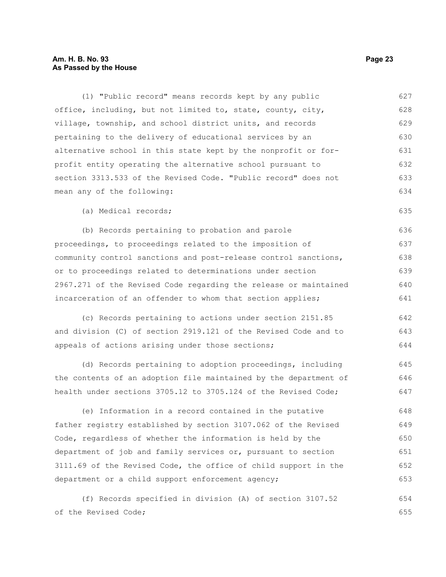#### **Am. H. B. No. 93 Page 23 As Passed by the House**

(1) "Public record" means records kept by any public office, including, but not limited to, state, county, city, village, township, and school district units, and records pertaining to the delivery of educational services by an alternative school in this state kept by the nonprofit or forprofit entity operating the alternative school pursuant to section 3313.533 of the Revised Code. "Public record" does not mean any of the following: 627 628 629 630 631 632 633 634

(a) Medical records;

(b) Records pertaining to probation and parole proceedings, to proceedings related to the imposition of community control sanctions and post-release control sanctions, or to proceedings related to determinations under section 2967.271 of the Revised Code regarding the release or maintained incarceration of an offender to whom that section applies; 636 637 638 639 640 641

(c) Records pertaining to actions under section 2151.85 and division (C) of section 2919.121 of the Revised Code and to appeals of actions arising under those sections; 642 643 644

(d) Records pertaining to adoption proceedings, including the contents of an adoption file maintained by the department of health under sections 3705.12 to 3705.124 of the Revised Code; 645 646 647

(e) Information in a record contained in the putative father registry established by section 3107.062 of the Revised Code, regardless of whether the information is held by the department of job and family services or, pursuant to section 3111.69 of the Revised Code, the office of child support in the department or a child support enforcement agency; 648 649 650 651 652 653

(f) Records specified in division (A) of section 3107.52 of the Revised Code; 654 655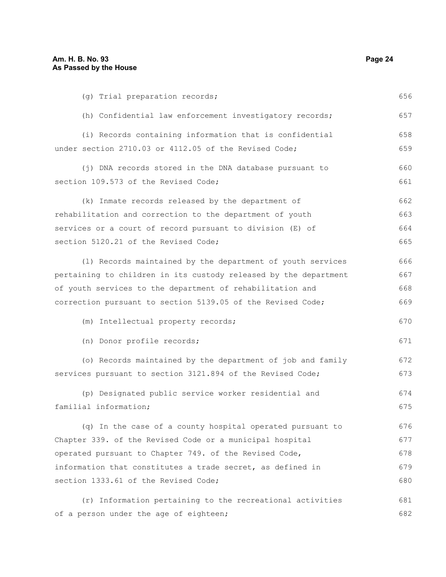| (g) Trial preparation records;                                   |     |  |  |  |  |
|------------------------------------------------------------------|-----|--|--|--|--|
| (h) Confidential law enforcement investigatory records;          | 657 |  |  |  |  |
| (i) Records containing information that is confidential          | 658 |  |  |  |  |
| under section 2710.03 or 4112.05 of the Revised Code;            | 659 |  |  |  |  |
| (j) DNA records stored in the DNA database pursuant to           | 660 |  |  |  |  |
| section 109.573 of the Revised Code;                             | 661 |  |  |  |  |
| (k) Inmate records released by the department of                 | 662 |  |  |  |  |
| rehabilitation and correction to the department of youth         | 663 |  |  |  |  |
| services or a court of record pursuant to division (E) of        | 664 |  |  |  |  |
| section 5120.21 of the Revised Code;                             | 665 |  |  |  |  |
| (1) Records maintained by the department of youth services       | 666 |  |  |  |  |
| pertaining to children in its custody released by the department | 667 |  |  |  |  |
| of youth services to the department of rehabilitation and        | 668 |  |  |  |  |
| correction pursuant to section 5139.05 of the Revised Code;      |     |  |  |  |  |
| (m) Intellectual property records;                               | 670 |  |  |  |  |
| (n) Donor profile records;                                       | 671 |  |  |  |  |
| (o) Records maintained by the department of job and family       | 672 |  |  |  |  |
| services pursuant to section 3121.894 of the Revised Code;       | 673 |  |  |  |  |
| (p) Designated public service worker residential and             | 674 |  |  |  |  |
| familial information;                                            | 675 |  |  |  |  |
| (q) In the case of a county hospital operated pursuant to        | 676 |  |  |  |  |
| Chapter 339. of the Revised Code or a municipal hospital         | 677 |  |  |  |  |
| operated pursuant to Chapter 749. of the Revised Code,           | 678 |  |  |  |  |
| information that constitutes a trade secret, as defined in       | 679 |  |  |  |  |
| section 1333.61 of the Revised Code;                             | 680 |  |  |  |  |
| (r) Information pertaining to the recreational activities        | 681 |  |  |  |  |
| of a person under the age of eighteen;                           | 682 |  |  |  |  |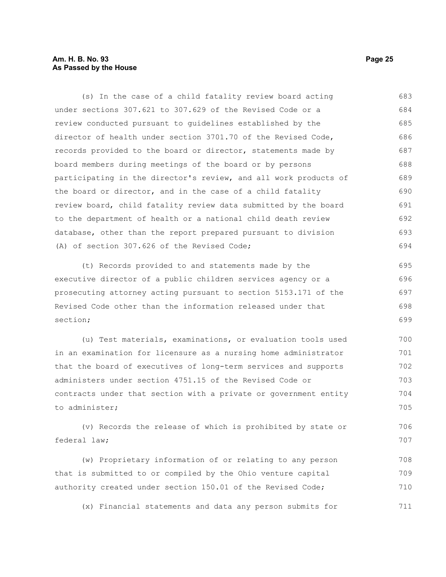### **Am. H. B. No. 93 Page 25 As Passed by the House**

(s) In the case of a child fatality review board acting under sections 307.621 to 307.629 of the Revised Code or a review conducted pursuant to guidelines established by the director of health under section 3701.70 of the Revised Code, records provided to the board or director, statements made by board members during meetings of the board or by persons participating in the director's review, and all work products of the board or director, and in the case of a child fatality review board, child fatality review data submitted by the board to the department of health or a national child death review database, other than the report prepared pursuant to division (A) of section 307.626 of the Revised Code; 683 684 685 686 687 688 689 690 691 692 693 694

(t) Records provided to and statements made by the executive director of a public children services agency or a prosecuting attorney acting pursuant to section 5153.171 of the Revised Code other than the information released under that section; 695 696 697 698 699

(u) Test materials, examinations, or evaluation tools used in an examination for licensure as a nursing home administrator that the board of executives of long-term services and supports administers under section 4751.15 of the Revised Code or contracts under that section with a private or government entity to administer; 700 701 702 703 704 705

(v) Records the release of which is prohibited by state or federal law; 706 707

(w) Proprietary information of or relating to any person that is submitted to or compiled by the Ohio venture capital authority created under section 150.01 of the Revised Code; 708 709 710

(x) Financial statements and data any person submits for 711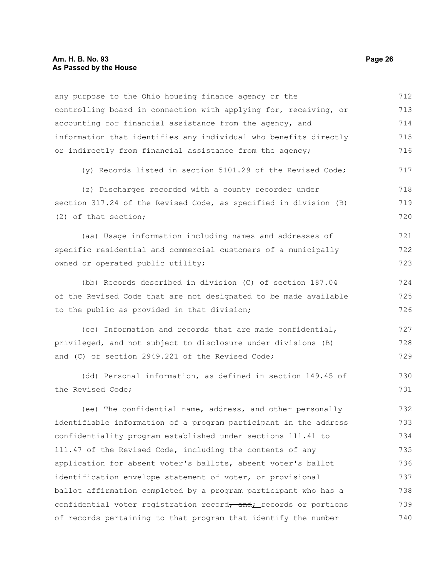any purpose to the Ohio housing finance agency or the controlling board in connection with applying for, receiving, or accounting for financial assistance from the agency, and information that identifies any individual who benefits directly or indirectly from financial assistance from the agency; 712 713 714 715 716

(y) Records listed in section 5101.29 of the Revised Code; 717

(z) Discharges recorded with a county recorder under section 317.24 of the Revised Code, as specified in division (B) (2) of that section; 718 719 720

(aa) Usage information including names and addresses of specific residential and commercial customers of a municipally owned or operated public utility; 721 722 723

(bb) Records described in division (C) of section 187.04 of the Revised Code that are not designated to be made available to the public as provided in that division; 724 725 726

(cc) Information and records that are made confidential, privileged, and not subject to disclosure under divisions (B) and (C) of section 2949.221 of the Revised Code; 727 728 729

(dd) Personal information, as defined in section 149.45 of the Revised Code;

(ee) The confidential name, address, and other personally identifiable information of a program participant in the address confidentiality program established under sections 111.41 to 111.47 of the Revised Code, including the contents of any application for absent voter's ballots, absent voter's ballot identification envelope statement of voter, or provisional ballot affirmation completed by a program participant who has a confidential voter registration record<sub>7</sub> and; records or portions of records pertaining to that program that identify the number 732 733 734 735 736 737 738 739 740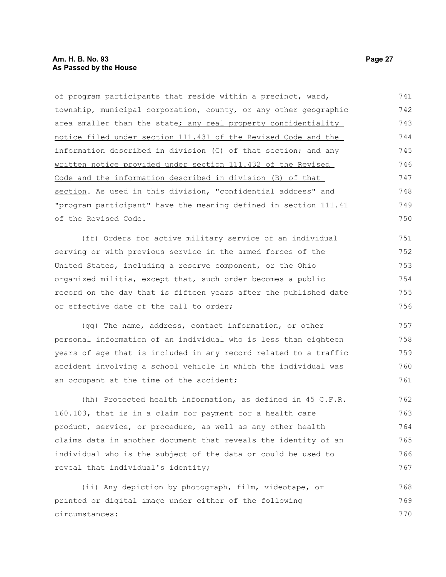of program participants that reside within a precinct, ward, township, municipal corporation, county, or any other geographic area smaller than the state; any real property confidentiality notice filed under section 111.431 of the Revised Code and the information described in division (C) of that section; and any written notice provided under section 111.432 of the Revised Code and the information described in division (B) of that section. As used in this division, "confidential address" and "program participant" have the meaning defined in section 111.41 of the Revised Code. (ff) Orders for active military service of an individual serving or with previous service in the armed forces of the United States, including a reserve component, or the Ohio organized militia, except that, such order becomes a public record on the day that is fifteen years after the published date 741 742 743 744 745 746 747 748 749 750 751 752 753 754 755

(gg) The name, address, contact information, or other personal information of an individual who is less than eighteen years of age that is included in any record related to a traffic accident involving a school vehicle in which the individual was an occupant at the time of the accident; 757 758 759 760 761

or effective date of the call to order;

(hh) Protected health information, as defined in 45 C.F.R. 160.103, that is in a claim for payment for a health care product, service, or procedure, as well as any other health claims data in another document that reveals the identity of an individual who is the subject of the data or could be used to reveal that individual's identity; 762 763 764 765 766 767

(ii) Any depiction by photograph, film, videotape, or printed or digital image under either of the following circumstances: 768 769 770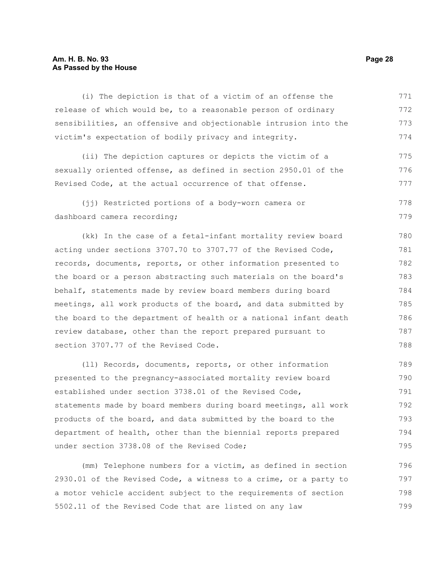### **Am. H. B. No. 93 Page 28 As Passed by the House**

(i) The depiction is that of a victim of an offense the release of which would be, to a reasonable person of ordinary sensibilities, an offensive and objectionable intrusion into the victim's expectation of bodily privacy and integrity. 771 772 773 774

(ii) The depiction captures or depicts the victim of a sexually oriented offense, as defined in section 2950.01 of the Revised Code, at the actual occurrence of that offense. 775 776 777

(jj) Restricted portions of a body-worn camera or dashboard camera recording; 778 779

(kk) In the case of a fetal-infant mortality review board acting under sections 3707.70 to 3707.77 of the Revised Code, records, documents, reports, or other information presented to the board or a person abstracting such materials on the board's behalf, statements made by review board members during board meetings, all work products of the board, and data submitted by the board to the department of health or a national infant death review database, other than the report prepared pursuant to section 3707.77 of the Revised Code.

(ll) Records, documents, reports, or other information presented to the pregnancy-associated mortality review board established under section 3738.01 of the Revised Code, statements made by board members during board meetings, all work products of the board, and data submitted by the board to the department of health, other than the biennial reports prepared under section 3738.08 of the Revised Code; 789 790 791 792 793 794 795

(mm) Telephone numbers for a victim, as defined in section 2930.01 of the Revised Code, a witness to a crime, or a party to a motor vehicle accident subject to the requirements of section 5502.11 of the Revised Code that are listed on any law 796 797 798 799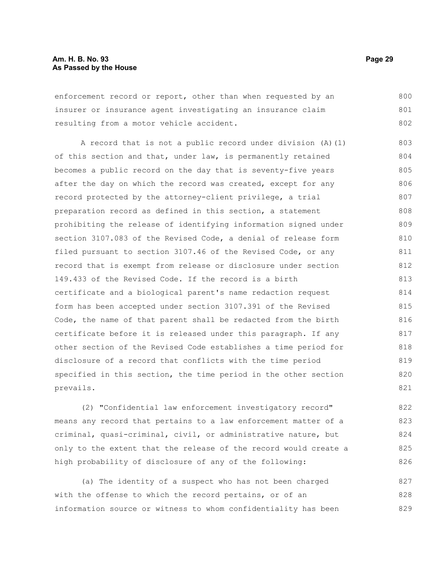enforcement record or report, other than when requested by an insurer or insurance agent investigating an insurance claim resulting from a motor vehicle accident. 800 801 802

A record that is not a public record under division (A)(1) of this section and that, under law, is permanently retained becomes a public record on the day that is seventy-five years after the day on which the record was created, except for any record protected by the attorney-client privilege, a trial preparation record as defined in this section, a statement prohibiting the release of identifying information signed under section 3107.083 of the Revised Code, a denial of release form filed pursuant to section 3107.46 of the Revised Code, or any record that is exempt from release or disclosure under section 149.433 of the Revised Code. If the record is a birth certificate and a biological parent's name redaction request form has been accepted under section 3107.391 of the Revised Code, the name of that parent shall be redacted from the birth certificate before it is released under this paragraph. If any other section of the Revised Code establishes a time period for disclosure of a record that conflicts with the time period specified in this section, the time period in the other section prevails. 803 804 805 806 807 808 809 810 811 812 813 814 815 816 817 818 819 820 821

(2) "Confidential law enforcement investigatory record" means any record that pertains to a law enforcement matter of a criminal, quasi-criminal, civil, or administrative nature, but only to the extent that the release of the record would create a high probability of disclosure of any of the following: 822 823 824 825 826

(a) The identity of a suspect who has not been charged with the offense to which the record pertains, or of an information source or witness to whom confidentiality has been 827 828 829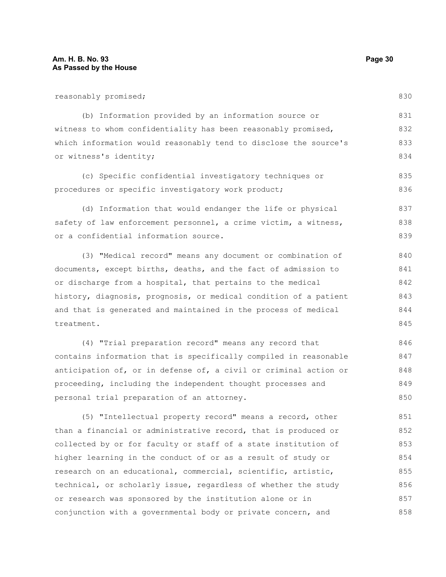reasonably promised;

(b) Information provided by an information source or witness to whom confidentiality has been reasonably promised, which information would reasonably tend to disclose the source's or witness's identity;

(c) Specific confidential investigatory techniques or procedures or specific investigatory work product; 835 836

(d) Information that would endanger the life or physical safety of law enforcement personnel, a crime victim, a witness, or a confidential information source. 837 838 839

(3) "Medical record" means any document or combination of documents, except births, deaths, and the fact of admission to or discharge from a hospital, that pertains to the medical history, diagnosis, prognosis, or medical condition of a patient and that is generated and maintained in the process of medical treatment.

(4) "Trial preparation record" means any record that contains information that is specifically compiled in reasonable anticipation of, or in defense of, a civil or criminal action or proceeding, including the independent thought processes and personal trial preparation of an attorney. 846 847 848 849 850

(5) "Intellectual property record" means a record, other than a financial or administrative record, that is produced or collected by or for faculty or staff of a state institution of higher learning in the conduct of or as a result of study or research on an educational, commercial, scientific, artistic, technical, or scholarly issue, regardless of whether the study or research was sponsored by the institution alone or in conjunction with a governmental body or private concern, and 851 852 853 854 855 856 857 858

830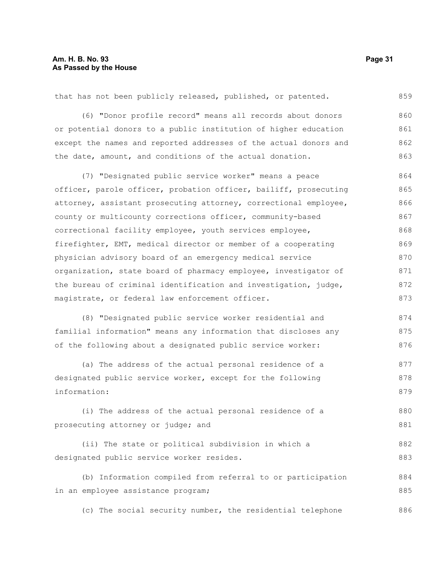that has not been publicly released, published, or patented. 859

(6) "Donor profile record" means all records about donors or potential donors to a public institution of higher education except the names and reported addresses of the actual donors and the date, amount, and conditions of the actual donation. 860 861 862 863

(7) "Designated public service worker" means a peace officer, parole officer, probation officer, bailiff, prosecuting attorney, assistant prosecuting attorney, correctional employee, county or multicounty corrections officer, community-based correctional facility employee, youth services employee, firefighter, EMT, medical director or member of a cooperating physician advisory board of an emergency medical service organization, state board of pharmacy employee, investigator of the bureau of criminal identification and investigation, judge, magistrate, or federal law enforcement officer. 864 865 866 867 868 869 870 871 872 873

(8) "Designated public service worker residential and familial information" means any information that discloses any of the following about a designated public service worker: 874 875 876

(a) The address of the actual personal residence of a designated public service worker, except for the following information: 877 878 879

(i) The address of the actual personal residence of a prosecuting attorney or judge; and 880 881

(ii) The state or political subdivision in which a designated public service worker resides. 882 883

(b) Information compiled from referral to or participation in an employee assistance program; 884 885

(c) The social security number, the residential telephone 886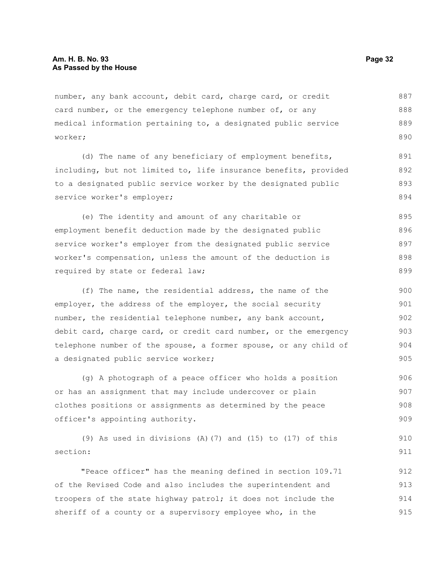number, any bank account, debit card, charge card, or credit card number, or the emergency telephone number of, or any medical information pertaining to, a designated public service worker; 887 888 889 890

(d) The name of any beneficiary of employment benefits, including, but not limited to, life insurance benefits, provided to a designated public service worker by the designated public service worker's employer; 891 892 893 894

(e) The identity and amount of any charitable or employment benefit deduction made by the designated public service worker's employer from the designated public service worker's compensation, unless the amount of the deduction is required by state or federal law; 895 896 897 898 899

(f) The name, the residential address, the name of the employer, the address of the employer, the social security number, the residential telephone number, any bank account, debit card, charge card, or credit card number, or the emergency telephone number of the spouse, a former spouse, or any child of a designated public service worker; 900 901 902 903 904 905

(g) A photograph of a peace officer who holds a position or has an assignment that may include undercover or plain clothes positions or assignments as determined by the peace officer's appointing authority. 906 907 908 909

(9) As used in divisions (A)(7) and (15) to (17) of this section: 910 911

"Peace officer" has the meaning defined in section 109.71 of the Revised Code and also includes the superintendent and troopers of the state highway patrol; it does not include the sheriff of a county or a supervisory employee who, in the 912 913 914 915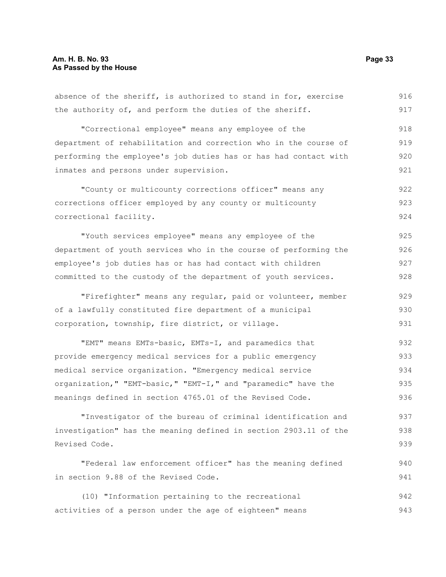### **Am. H. B. No. 93 Page 33 As Passed by the House**

the authority of, and perform the duties of the sheriff. "Correctional employee" means any employee of the department of rehabilitation and correction who in the course of performing the employee's job duties has or has had contact with inmates and persons under supervision. "County or multicounty corrections officer" means any corrections officer employed by any county or multicounty correctional facility. "Youth services employee" means any employee of the department of youth services who in the course of performing the employee's job duties has or has had contact with children committed to the custody of the department of youth services. "Firefighter" means any regular, paid or volunteer, member of a lawfully constituted fire department of a municipal corporation, township, fire district, or village. "EMT" means EMTs-basic, EMTs-I, and paramedics that provide emergency medical services for a public emergency medical service organization. "Emergency medical service organization," "EMT-basic," "EMT-I," and "paramedic" have the meanings defined in section 4765.01 of the Revised Code. "Investigator of the bureau of criminal identification and investigation" has the meaning defined in section 2903.11 of the Revised Code. "Federal law enforcement officer" has the meaning defined in section 9.88 of the Revised Code. (10) "Information pertaining to the recreational activities of a person under the age of eighteen" means 917 918 919 920 921 922 923 924 925 926 927 928 929 930 931 932 933 934 935 936 937 938 939 940 941 942 943

absence of the sheriff, is authorized to stand in for, exercise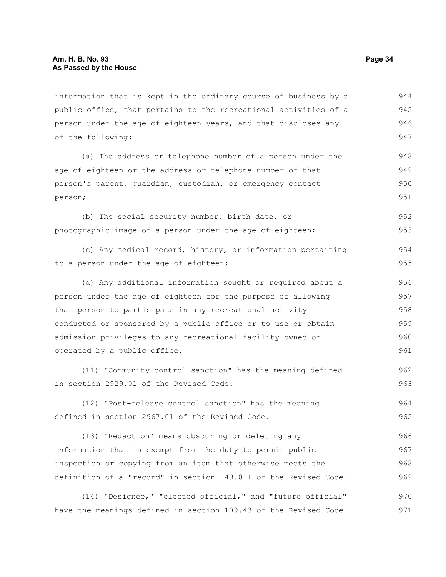information that is kept in the ordinary course of business by a public office, that pertains to the recreational activities of a person under the age of eighteen years, and that discloses any of the following: 944 945 946 947

(a) The address or telephone number of a person under the age of eighteen or the address or telephone number of that person's parent, guardian, custodian, or emergency contact person; 948 949 950 951

(b) The social security number, birth date, or photographic image of a person under the age of eighteen; 952 953

(c) Any medical record, history, or information pertaining to a person under the age of eighteen; 954 955

(d) Any additional information sought or required about a person under the age of eighteen for the purpose of allowing that person to participate in any recreational activity conducted or sponsored by a public office or to use or obtain admission privileges to any recreational facility owned or operated by a public office. 956 957 958 959 960 961

(11) "Community control sanction" has the meaning defined in section 2929.01 of the Revised Code.

(12) "Post-release control sanction" has the meaning defined in section 2967.01 of the Revised Code. 964 965

(13) "Redaction" means obscuring or deleting any information that is exempt from the duty to permit public inspection or copying from an item that otherwise meets the definition of a "record" in section 149.011 of the Revised Code. 966 967 968 969

(14) "Designee," "elected official," and "future official" have the meanings defined in section 109.43 of the Revised Code. 970 971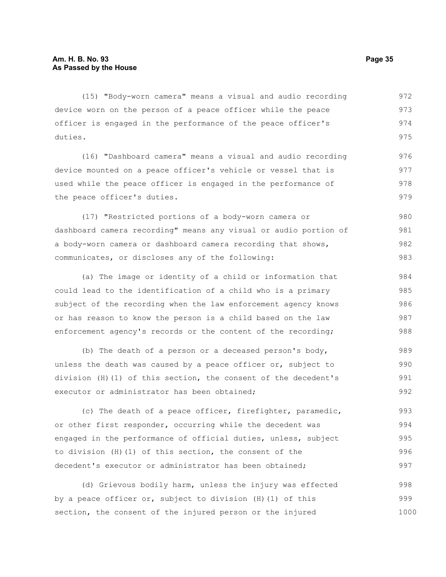(15) "Body-worn camera" means a visual and audio recording device worn on the person of a peace officer while the peace officer is engaged in the performance of the peace officer's duties. 972 973 974 975

(16) "Dashboard camera" means a visual and audio recording device mounted on a peace officer's vehicle or vessel that is used while the peace officer is engaged in the performance of the peace officer's duties. 976 977 978 979

(17) "Restricted portions of a body-worn camera or dashboard camera recording" means any visual or audio portion of a body-worn camera or dashboard camera recording that shows, communicates, or discloses any of the following: 980 981 982 983

(a) The image or identity of a child or information that could lead to the identification of a child who is a primary subject of the recording when the law enforcement agency knows or has reason to know the person is a child based on the law enforcement agency's records or the content of the recording; 984 985 986 987 988

(b) The death of a person or a deceased person's body, unless the death was caused by a peace officer or, subject to division (H)(1) of this section, the consent of the decedent's executor or administrator has been obtained; 989 990 991 992

(c) The death of a peace officer, firefighter, paramedic, or other first responder, occurring while the decedent was engaged in the performance of official duties, unless, subject to division (H)(1) of this section, the consent of the decedent's executor or administrator has been obtained; 993 994 995 996 997

(d) Grievous bodily harm, unless the injury was effected by a peace officer or, subject to division (H)(1) of this section, the consent of the injured person or the injured 998 999 1000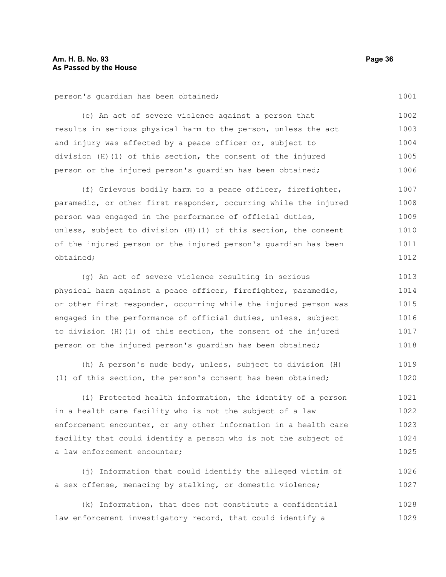person's guardian has been obtained;

(e) An act of severe violence against a person that results in serious physical harm to the person, unless the act and injury was effected by a peace officer or, subject to division (H)(1) of this section, the consent of the injured person or the injured person's guardian has been obtained; 1002 1003 1004 1005 1006

(f) Grievous bodily harm to a peace officer, firefighter, paramedic, or other first responder, occurring while the injured person was engaged in the performance of official duties, unless, subject to division (H)(1) of this section, the consent of the injured person or the injured person's guardian has been obtained; 1007 1008 1009 1010 1011 1012

(g) An act of severe violence resulting in serious physical harm against a peace officer, firefighter, paramedic, or other first responder, occurring while the injured person was engaged in the performance of official duties, unless, subject to division (H)(1) of this section, the consent of the injured person or the injured person's guardian has been obtained; 1013 1014 1015 1016 1017 1018

(h) A person's nude body, unless, subject to division (H) (1) of this section, the person's consent has been obtained; 1019 1020

(i) Protected health information, the identity of a person in a health care facility who is not the subject of a law enforcement encounter, or any other information in a health care facility that could identify a person who is not the subject of a law enforcement encounter; 1021 1022 1023 1024 1025

(j) Information that could identify the alleged victim of a sex offense, menacing by stalking, or domestic violence; 1026 1027

(k) Information, that does not constitute a confidential law enforcement investigatory record, that could identify a 1028 1029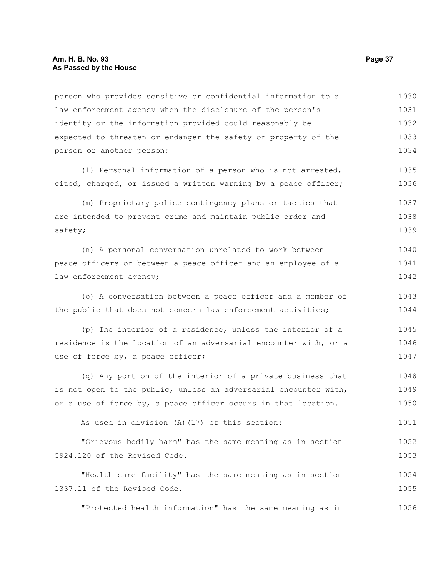person who provides sensitive or confidential information to a law enforcement agency when the disclosure of the person's identity or the information provided could reasonably be expected to threaten or endanger the safety or property of the person or another person; 1030 1031 1032 1033 1034

(l) Personal information of a person who is not arrested, cited, charged, or issued a written warning by a peace officer; 1035 1036

(m) Proprietary police contingency plans or tactics that are intended to prevent crime and maintain public order and safety; 1037 1038 1039

(n) A personal conversation unrelated to work between peace officers or between a peace officer and an employee of a law enforcement agency; 1040 1041 1042

(o) A conversation between a peace officer and a member of the public that does not concern law enforcement activities; 1043 1044

(p) The interior of a residence, unless the interior of a residence is the location of an adversarial encounter with, or a use of force by, a peace officer; 1045 1046 1047

(q) Any portion of the interior of a private business that is not open to the public, unless an adversarial encounter with, or a use of force by, a peace officer occurs in that location. 1048 1049 1050

As used in division (A)(17) of this section: 1051

"Grievous bodily harm" has the same meaning as in section 5924.120 of the Revised Code. 1052 1053

"Health care facility" has the same meaning as in section 1337.11 of the Revised Code. 1054 1055

"Protected health information" has the same meaning as in 1056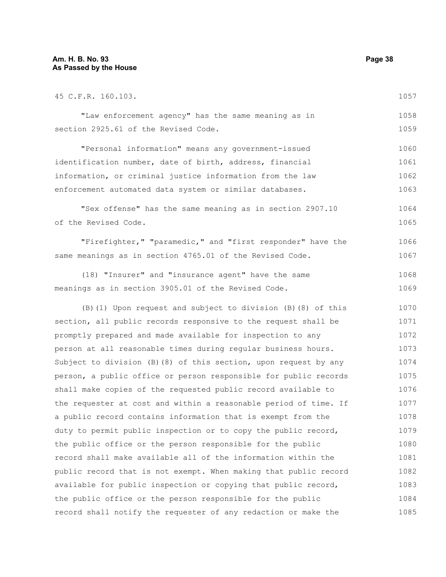45 C.F.R. 160.103. "Law enforcement agency" has the same meaning as in section 2925.61 of the Revised Code. "Personal information" means any government-issued identification number, date of birth, address, financial information, or criminal justice information from the law enforcement automated data system or similar databases. "Sex offense" has the same meaning as in section 2907.10 of the Revised Code. "Firefighter," "paramedic," and "first responder" have the same meanings as in section 4765.01 of the Revised Code. (18) "Insurer" and "insurance agent" have the same meanings as in section 3905.01 of the Revised Code. (B)(1) Upon request and subject to division (B)(8) of this section, all public records responsive to the request shall be promptly prepared and made available for inspection to any person at all reasonable times during regular business hours. Subject to division (B)(8) of this section, upon request by any person, a public office or person responsible for public records shall make copies of the requested public record available to the requester at cost and within a reasonable period of time. If a public record contains information that is exempt from the duty to permit public inspection or to copy the public record, the public office or the person responsible for the public record shall make available all of the information within the public record that is not exempt. When making that public record available for public inspection or copying that public record, the public office or the person responsible for the public 1057 1058 1059 1060 1061 1062 1063 1064 1065 1066 1067 1068 1069 1070 1071 1072 1073 1074 1075 1076 1077 1078 1079 1080 1081 1082 1083 1084

record shall notify the requester of any redaction or make the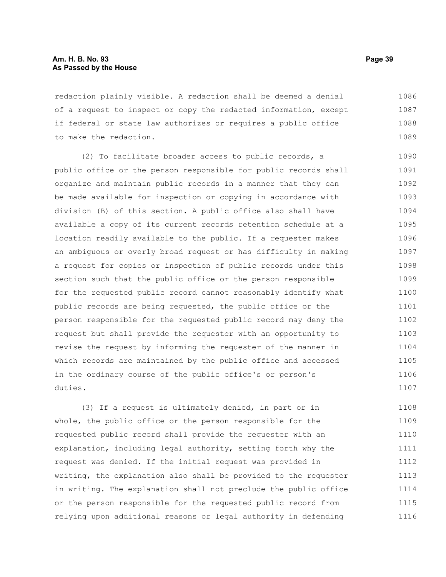redaction plainly visible. A redaction shall be deemed a denial of a request to inspect or copy the redacted information, except if federal or state law authorizes or requires a public office to make the redaction. 1086 1087 1088 1089

(2) To facilitate broader access to public records, a public office or the person responsible for public records shall organize and maintain public records in a manner that they can be made available for inspection or copying in accordance with division (B) of this section. A public office also shall have available a copy of its current records retention schedule at a location readily available to the public. If a requester makes an ambiguous or overly broad request or has difficulty in making a request for copies or inspection of public records under this section such that the public office or the person responsible for the requested public record cannot reasonably identify what public records are being requested, the public office or the person responsible for the requested public record may deny the request but shall provide the requester with an opportunity to revise the request by informing the requester of the manner in which records are maintained by the public office and accessed in the ordinary course of the public office's or person's duties. 1090 1091 1092 1093 1094 1095 1096 1097 1098 1099 1100 1101 1102 1103 1104 1105 1106 1107

(3) If a request is ultimately denied, in part or in whole, the public office or the person responsible for the requested public record shall provide the requester with an explanation, including legal authority, setting forth why the request was denied. If the initial request was provided in writing, the explanation also shall be provided to the requester in writing. The explanation shall not preclude the public office or the person responsible for the requested public record from relying upon additional reasons or legal authority in defending 1108 1109 1110 1111 1112 1113 1114 1115 1116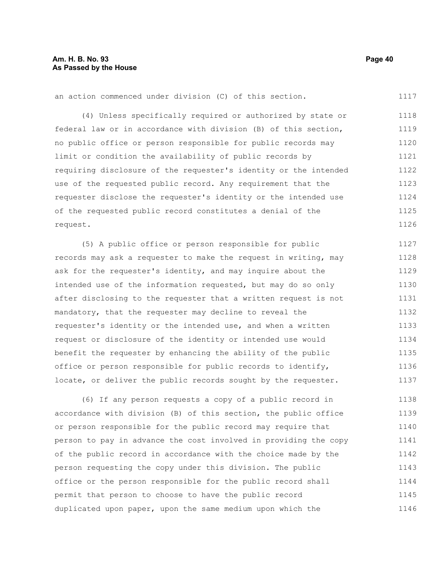1117

an action commenced under division (C) of this section.

(4) Unless specifically required or authorized by state or federal law or in accordance with division (B) of this section, no public office or person responsible for public records may limit or condition the availability of public records by requiring disclosure of the requester's identity or the intended use of the requested public record. Any requirement that the requester disclose the requester's identity or the intended use of the requested public record constitutes a denial of the request. 1118 1119 1120 1121 1122 1123 1124 1125 1126

(5) A public office or person responsible for public records may ask a requester to make the request in writing, may ask for the requester's identity, and may inquire about the intended use of the information requested, but may do so only after disclosing to the requester that a written request is not mandatory, that the requester may decline to reveal the requester's identity or the intended use, and when a written request or disclosure of the identity or intended use would benefit the requester by enhancing the ability of the public office or person responsible for public records to identify, locate, or deliver the public records sought by the requester. 1127 1128 1129 1130 1131 1132 1133 1134 1135 1136 1137

(6) If any person requests a copy of a public record in accordance with division (B) of this section, the public office or person responsible for the public record may require that person to pay in advance the cost involved in providing the copy of the public record in accordance with the choice made by the person requesting the copy under this division. The public office or the person responsible for the public record shall permit that person to choose to have the public record duplicated upon paper, upon the same medium upon which the 1138 1139 1140 1141 1142 1143 1144 1145 1146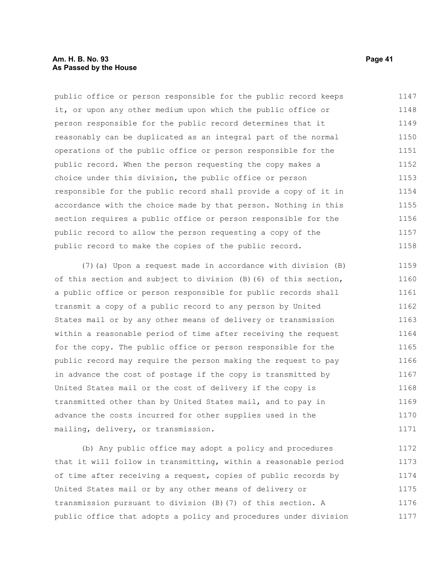public office or person responsible for the public record keeps it, or upon any other medium upon which the public office or person responsible for the public record determines that it reasonably can be duplicated as an integral part of the normal operations of the public office or person responsible for the public record. When the person requesting the copy makes a choice under this division, the public office or person responsible for the public record shall provide a copy of it in accordance with the choice made by that person. Nothing in this section requires a public office or person responsible for the public record to allow the person requesting a copy of the public record to make the copies of the public record. 1147 1148 1149 1150 1151 1152 1153 1154 1155 1156 1157 1158

(7)(a) Upon a request made in accordance with division (B) of this section and subject to division (B)(6) of this section, a public office or person responsible for public records shall transmit a copy of a public record to any person by United States mail or by any other means of delivery or transmission within a reasonable period of time after receiving the request for the copy. The public office or person responsible for the public record may require the person making the request to pay in advance the cost of postage if the copy is transmitted by United States mail or the cost of delivery if the copy is transmitted other than by United States mail, and to pay in advance the costs incurred for other supplies used in the mailing, delivery, or transmission. 1159 1160 1161 1162 1163 1164 1165 1166 1167 1168 1169 1170 1171

(b) Any public office may adopt a policy and procedures that it will follow in transmitting, within a reasonable period of time after receiving a request, copies of public records by United States mail or by any other means of delivery or transmission pursuant to division (B)(7) of this section. A public office that adopts a policy and procedures under division 1172 1173 1174 1175 1176 1177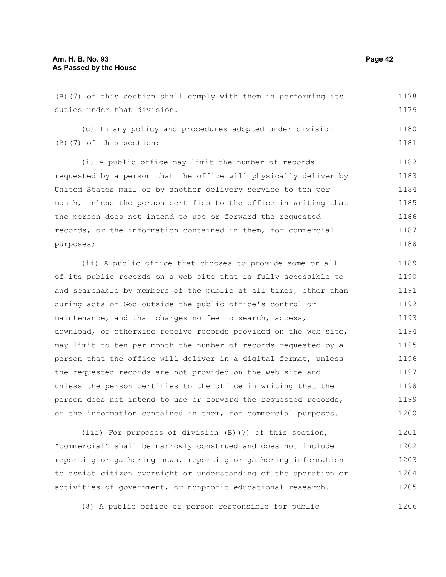(B)(7) of this section shall comply with them in performing its duties under that division. (c) In any policy and procedures adopted under division (B)(7) of this section: (i) A public office may limit the number of records requested by a person that the office will physically deliver by United States mail or by another delivery service to ten per month, unless the person certifies to the office in writing that 1178 1179 1180 1181 1182 1183 1184 1185

the person does not intend to use or forward the requested records, or the information contained in them, for commercial purposes; 1186 1187 1188

(ii) A public office that chooses to provide some or all of its public records on a web site that is fully accessible to and searchable by members of the public at all times, other than during acts of God outside the public office's control or maintenance, and that charges no fee to search, access, download, or otherwise receive records provided on the web site, may limit to ten per month the number of records requested by a person that the office will deliver in a digital format, unless the requested records are not provided on the web site and unless the person certifies to the office in writing that the person does not intend to use or forward the requested records, or the information contained in them, for commercial purposes. 1189 1190 1191 1192 1193 1194 1195 1196 1197 1198 1199 1200

(iii) For purposes of division (B)(7) of this section, "commercial" shall be narrowly construed and does not include reporting or gathering news, reporting or gathering information to assist citizen oversight or understanding of the operation or activities of government, or nonprofit educational research. 1201 1202 1203 1204 1205

(8) A public office or person responsible for public 1206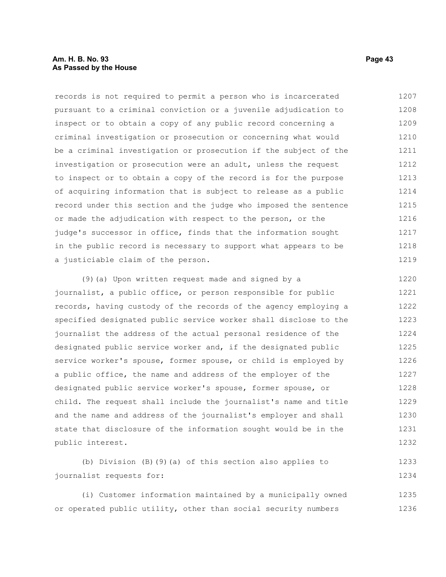#### **Am. H. B. No. 93 Page 43 As Passed by the House**

records is not required to permit a person who is incarcerated pursuant to a criminal conviction or a juvenile adjudication to inspect or to obtain a copy of any public record concerning a criminal investigation or prosecution or concerning what would be a criminal investigation or prosecution if the subject of the investigation or prosecution were an adult, unless the request to inspect or to obtain a copy of the record is for the purpose of acquiring information that is subject to release as a public record under this section and the judge who imposed the sentence or made the adjudication with respect to the person, or the judge's successor in office, finds that the information sought in the public record is necessary to support what appears to be a justiciable claim of the person. 1207 1208 1209 1210 1211 1212 1213 1214 1215 1216 1217 1218 1219

(9)(a) Upon written request made and signed by a journalist, a public office, or person responsible for public records, having custody of the records of the agency employing a specified designated public service worker shall disclose to the journalist the address of the actual personal residence of the designated public service worker and, if the designated public service worker's spouse, former spouse, or child is employed by a public office, the name and address of the employer of the designated public service worker's spouse, former spouse, or child. The request shall include the journalist's name and title and the name and address of the journalist's employer and shall state that disclosure of the information sought would be in the public interest. 1220 1221 1222 1223 1224 1225 1226 1227 1228 1229 1230 1231 1232

(b) Division (B)(9)(a) of this section also applies to journalist requests for: 1233 1234

(i) Customer information maintained by a municipally owned or operated public utility, other than social security numbers 1235 1236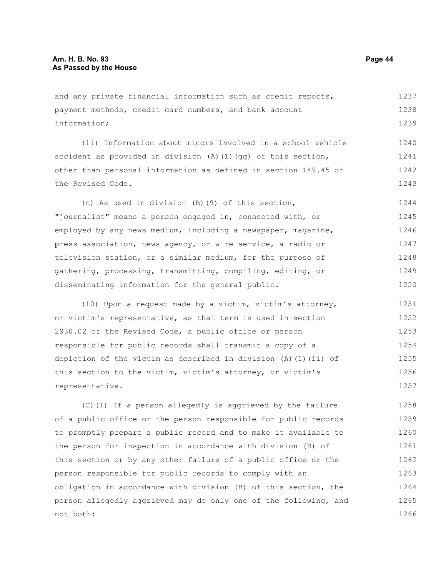and any private financial information such as credit reports, payment methods, credit card numbers, and bank account information; (ii) Information about minors involved in a school vehicle accident as provided in division  $(A)$   $(1)$  (gg) of this section, other than personal information as defined in section 149.45 of the Revised Code. (c) As used in division (B)(9) of this section, "journalist" means a person engaged in, connected with, or employed by any news medium, including a newspaper, magazine, press association, news agency, or wire service, a radio or television station, or a similar medium, for the purpose of gathering, processing, transmitting, compiling, editing, or disseminating information for the general public. (10) Upon a request made by a victim, victim's attorney, or victim's representative, as that term is used in section 2930.02 of the Revised Code, a public office or person responsible for public records shall transmit a copy of a depiction of the victim as described in division (A)(1)(ii) of this section to the victim, victim's attorney, or victim's representative. (C)(1) If a person allegedly is aggrieved by the failure of a public office or the person responsible for public records to promptly prepare a public record and to make it available to the person for inspection in accordance with division (B) of this section or by any other failure of a public office or the person responsible for public records to comply with an 1237 1238 1239 1240 1241 1242 1243 1244 1245 1246 1247 1248 1249 1250 1251 1252 1253 1254 1255 1256 1257 1258 1259 1260 1261 1262 1263

obligation in accordance with division (B) of this section, the person allegedly aggrieved may do only one of the following, and not both: 1264 1265 1266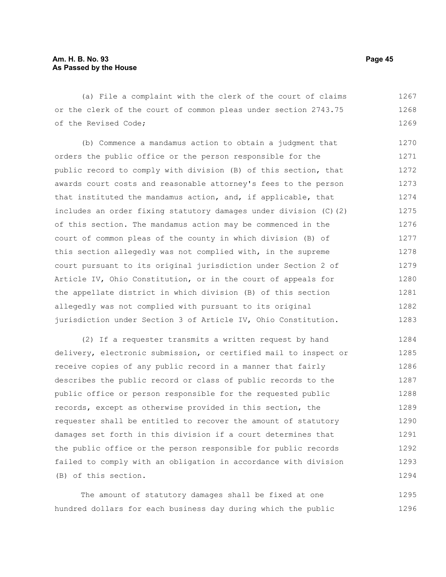(a) File a complaint with the clerk of the court of claims or the clerk of the court of common pleas under section 2743.75 of the Revised Code; 1267 1268 1269

(b) Commence a mandamus action to obtain a judgment that orders the public office or the person responsible for the public record to comply with division (B) of this section, that awards court costs and reasonable attorney's fees to the person that instituted the mandamus action, and, if applicable, that includes an order fixing statutory damages under division (C)(2) of this section. The mandamus action may be commenced in the court of common pleas of the county in which division (B) of this section allegedly was not complied with, in the supreme court pursuant to its original jurisdiction under Section 2 of Article IV, Ohio Constitution, or in the court of appeals for the appellate district in which division (B) of this section allegedly was not complied with pursuant to its original jurisdiction under Section 3 of Article IV, Ohio Constitution. 1270 1271 1272 1273 1274 1275 1276 1277 1278 1279 1280 1281 1282 1283

(2) If a requester transmits a written request by hand delivery, electronic submission, or certified mail to inspect or receive copies of any public record in a manner that fairly describes the public record or class of public records to the public office or person responsible for the requested public records, except as otherwise provided in this section, the requester shall be entitled to recover the amount of statutory damages set forth in this division if a court determines that the public office or the person responsible for public records failed to comply with an obligation in accordance with division (B) of this section. 1284 1285 1286 1287 1288 1289 1290 1291 1292 1293 1294

The amount of statutory damages shall be fixed at one hundred dollars for each business day during which the public 1295 1296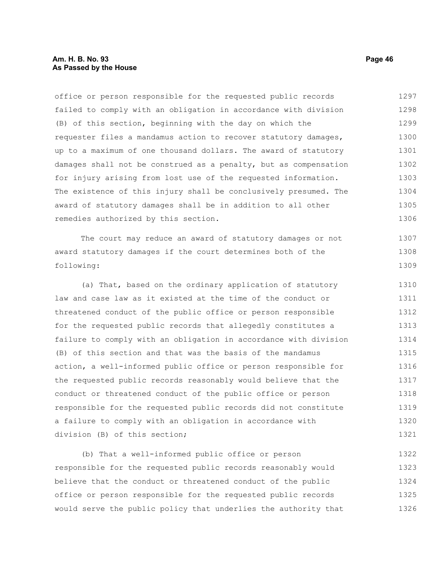#### **Am. H. B. No. 93 Page 46 As Passed by the House**

office or person responsible for the requested public records failed to comply with an obligation in accordance with division (B) of this section, beginning with the day on which the requester files a mandamus action to recover statutory damages, up to a maximum of one thousand dollars. The award of statutory damages shall not be construed as a penalty, but as compensation for injury arising from lost use of the requested information. The existence of this injury shall be conclusively presumed. The award of statutory damages shall be in addition to all other remedies authorized by this section. 1297 1298 1299 1300 1301 1302 1303 1304 1305 1306

The court may reduce an award of statutory damages or not award statutory damages if the court determines both of the following: 1307 1308 1309

(a) That, based on the ordinary application of statutory law and case law as it existed at the time of the conduct or threatened conduct of the public office or person responsible for the requested public records that allegedly constitutes a failure to comply with an obligation in accordance with division (B) of this section and that was the basis of the mandamus action, a well-informed public office or person responsible for the requested public records reasonably would believe that the conduct or threatened conduct of the public office or person responsible for the requested public records did not constitute a failure to comply with an obligation in accordance with division (B) of this section; 1310 1311 1312 1313 1314 1315 1316 1317 1318 1319 1320 1321

(b) That a well-informed public office or person responsible for the requested public records reasonably would believe that the conduct or threatened conduct of the public office or person responsible for the requested public records would serve the public policy that underlies the authority that 1322 1323 1324 1325 1326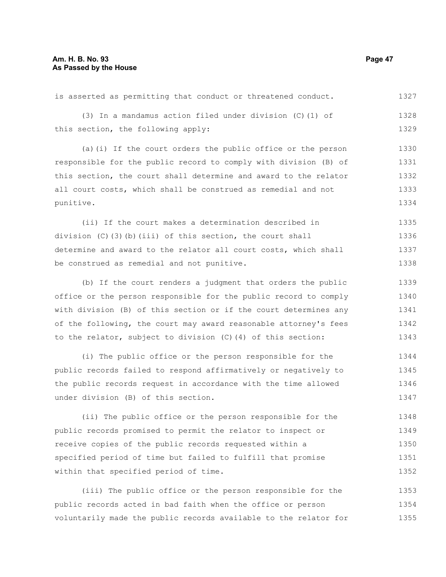| is asserted as permitting that conduct or threatened conduct.    | 1327 |
|------------------------------------------------------------------|------|
| (3) In a mandamus action filed under division (C) (1) of         | 1328 |
| this section, the following apply:                               | 1329 |
| (a) (i) If the court orders the public office or the person      | 1330 |
| responsible for the public record to comply with division (B) of | 1331 |
| this section, the court shall determine and award to the relator | 1332 |
| all court costs, which shall be construed as remedial and not    | 1333 |
| punitive.                                                        | 1334 |
| (ii) If the court makes a determination described in             | 1335 |
| division (C)(3)(b)(iii) of this section, the court shall         | 1336 |
| determine and award to the relator all court costs, which shall  | 1337 |
| be construed as remedial and not punitive.                       | 1338 |
| (b) If the court renders a judgment that orders the public       | 1339 |
| office or the person responsible for the public record to comply | 1340 |
| with division (B) of this section or if the court determines any | 1341 |
| of the following, the court may award reasonable attorney's fees | 1342 |
| to the relator, subject to division (C) (4) of this section:     | 1343 |
| (i) The public office or the person responsible for the          | 1344 |
| public records failed to respond affirmatively or negatively to  | 1345 |
| the public records request in accordance with the time allowed   | 1346 |
| under division (B) of this section.                              | 1347 |
| (ii) The public office or the person responsible for the         | 1348 |
| public records promised to permit the relator to inspect or      | 1349 |
| receive copies of the public records requested within a          | 1350 |

specified period of time but failed to fulfill that promise within that specified period of time.

(iii) The public office or the person responsible for the public records acted in bad faith when the office or person voluntarily made the public records available to the relator for 1353 1354 1355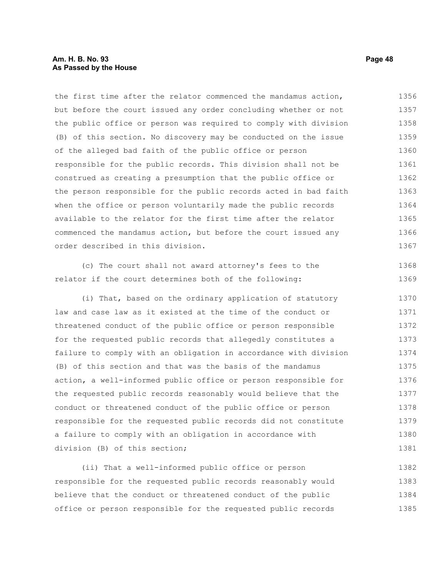#### **Am. H. B. No. 93 Page 48 As Passed by the House**

the first time after the relator commenced the mandamus action, but before the court issued any order concluding whether or not the public office or person was required to comply with division (B) of this section. No discovery may be conducted on the issue of the alleged bad faith of the public office or person responsible for the public records. This division shall not be construed as creating a presumption that the public office or the person responsible for the public records acted in bad faith when the office or person voluntarily made the public records available to the relator for the first time after the relator commenced the mandamus action, but before the court issued any order described in this division. 1356 1357 1358 1359 1360 1361 1362 1363 1364 1365 1366 1367

(c) The court shall not award attorney's fees to the relator if the court determines both of the following: 1368 1369

(i) That, based on the ordinary application of statutory law and case law as it existed at the time of the conduct or threatened conduct of the public office or person responsible for the requested public records that allegedly constitutes a failure to comply with an obligation in accordance with division (B) of this section and that was the basis of the mandamus action, a well-informed public office or person responsible for the requested public records reasonably would believe that the conduct or threatened conduct of the public office or person responsible for the requested public records did not constitute a failure to comply with an obligation in accordance with division (B) of this section; 1370 1371 1372 1373 1374 1375 1376 1377 1378 1379 1380 1381

(ii) That a well-informed public office or person responsible for the requested public records reasonably would believe that the conduct or threatened conduct of the public office or person responsible for the requested public records 1382 1383 1384 1385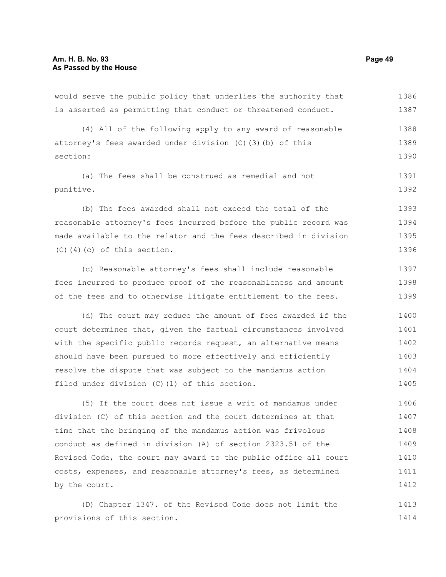would serve the public policy that underlies the authority that is asserted as permitting that conduct or threatened conduct. 1386 1387

(4) All of the following apply to any award of reasonable attorney's fees awarded under division (C)(3)(b) of this section: 1388 1389 1390

(a) The fees shall be construed as remedial and not punitive. 1391 1392

(b) The fees awarded shall not exceed the total of the reasonable attorney's fees incurred before the public record was made available to the relator and the fees described in division (C)(4)(c) of this section. 1393 1394 1395 1396

(c) Reasonable attorney's fees shall include reasonable fees incurred to produce proof of the reasonableness and amount of the fees and to otherwise litigate entitlement to the fees. 1397 1398 1399

(d) The court may reduce the amount of fees awarded if the court determines that, given the factual circumstances involved with the specific public records request, an alternative means should have been pursued to more effectively and efficiently resolve the dispute that was subject to the mandamus action filed under division (C)(1) of this section. 1400 1401 1402 1403 1404 1405

(5) If the court does not issue a writ of mandamus under division (C) of this section and the court determines at that time that the bringing of the mandamus action was frivolous conduct as defined in division (A) of section 2323.51 of the Revised Code, the court may award to the public office all court costs, expenses, and reasonable attorney's fees, as determined by the court. 1406 1407 1408 1409 1410 1411 1412

(D) Chapter 1347. of the Revised Code does not limit the provisions of this section. 1413 1414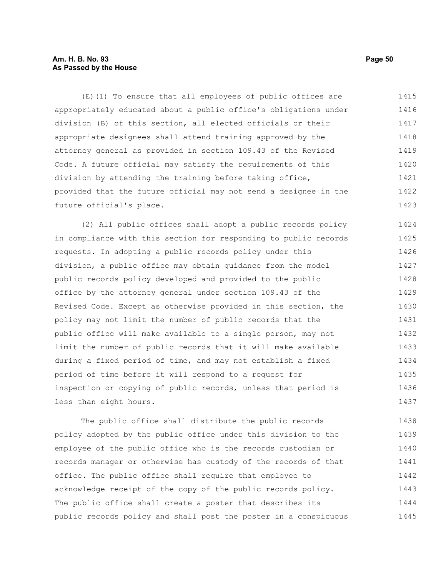### **Am. H. B. No. 93 Page 50 As Passed by the House**

(E)(1) To ensure that all employees of public offices are appropriately educated about a public office's obligations under division (B) of this section, all elected officials or their appropriate designees shall attend training approved by the attorney general as provided in section 109.43 of the Revised Code. A future official may satisfy the requirements of this division by attending the training before taking office, provided that the future official may not send a designee in the future official's place. 1415 1416 1417 1418 1419 1420 1421 1422 1423

(2) All public offices shall adopt a public records policy in compliance with this section for responding to public records requests. In adopting a public records policy under this division, a public office may obtain guidance from the model public records policy developed and provided to the public office by the attorney general under section 109.43 of the Revised Code. Except as otherwise provided in this section, the policy may not limit the number of public records that the public office will make available to a single person, may not limit the number of public records that it will make available during a fixed period of time, and may not establish a fixed period of time before it will respond to a request for inspection or copying of public records, unless that period is less than eight hours. 1424 1425 1426 1427 1428 1429 1430 1431 1432 1433 1434 1435 1436 1437

The public office shall distribute the public records policy adopted by the public office under this division to the employee of the public office who is the records custodian or records manager or otherwise has custody of the records of that office. The public office shall require that employee to acknowledge receipt of the copy of the public records policy. The public office shall create a poster that describes its public records policy and shall post the poster in a conspicuous 1438 1439 1440 1441 1442 1443 1444 1445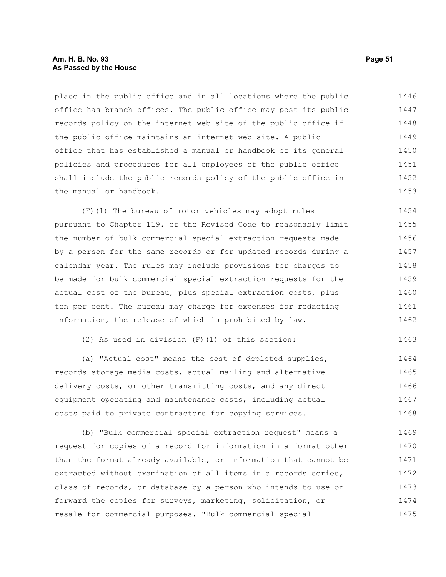### **Am. H. B. No. 93 Page 51 As Passed by the House**

place in the public office and in all locations where the public office has branch offices. The public office may post its public records policy on the internet web site of the public office if the public office maintains an internet web site. A public office that has established a manual or handbook of its general policies and procedures for all employees of the public office shall include the public records policy of the public office in the manual or handbook. 1446 1447 1448 1449 1450 1451 1452 1453

(F)(1) The bureau of motor vehicles may adopt rules pursuant to Chapter 119. of the Revised Code to reasonably limit the number of bulk commercial special extraction requests made by a person for the same records or for updated records during a calendar year. The rules may include provisions for charges to be made for bulk commercial special extraction requests for the actual cost of the bureau, plus special extraction costs, plus ten per cent. The bureau may charge for expenses for redacting information, the release of which is prohibited by law. 1454 1455 1456 1457 1458 1459 1460 1461 1462

(2) As used in division (F)(1) of this section:

(a) "Actual cost" means the cost of depleted supplies, records storage media costs, actual mailing and alternative delivery costs, or other transmitting costs, and any direct equipment operating and maintenance costs, including actual costs paid to private contractors for copying services. 1464 1465 1466 1467 1468

(b) "Bulk commercial special extraction request" means a request for copies of a record for information in a format other than the format already available, or information that cannot be extracted without examination of all items in a records series, class of records, or database by a person who intends to use or forward the copies for surveys, marketing, solicitation, or resale for commercial purposes. "Bulk commercial special 1469 1470 1471 1472 1473 1474 1475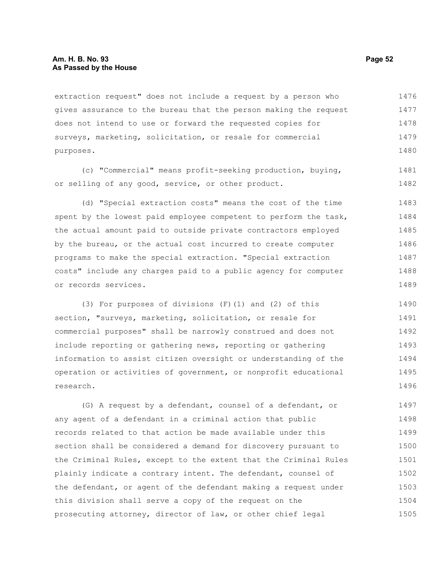#### **Am. H. B. No. 93 Page 52 As Passed by the House**

extraction request" does not include a request by a person who gives assurance to the bureau that the person making the request does not intend to use or forward the requested copies for surveys, marketing, solicitation, or resale for commercial purposes. 1476 1477 1478 1479 1480

(c) "Commercial" means profit-seeking production, buying, or selling of any good, service, or other product. 1481 1482

(d) "Special extraction costs" means the cost of the time spent by the lowest paid employee competent to perform the task, the actual amount paid to outside private contractors employed by the bureau, or the actual cost incurred to create computer programs to make the special extraction. "Special extraction costs" include any charges paid to a public agency for computer or records services. 1483 1484 1485 1486 1487 1488 1489

(3) For purposes of divisions (F)(1) and (2) of this section, "surveys, marketing, solicitation, or resale for commercial purposes" shall be narrowly construed and does not include reporting or gathering news, reporting or gathering information to assist citizen oversight or understanding of the operation or activities of government, or nonprofit educational research. 1490 1491 1492 1493 1494 1495 1496

(G) A request by a defendant, counsel of a defendant, or any agent of a defendant in a criminal action that public records related to that action be made available under this section shall be considered a demand for discovery pursuant to the Criminal Rules, except to the extent that the Criminal Rules plainly indicate a contrary intent. The defendant, counsel of the defendant, or agent of the defendant making a request under this division shall serve a copy of the request on the prosecuting attorney, director of law, or other chief legal 1497 1498 1499 1500 1501 1502 1503 1504 1505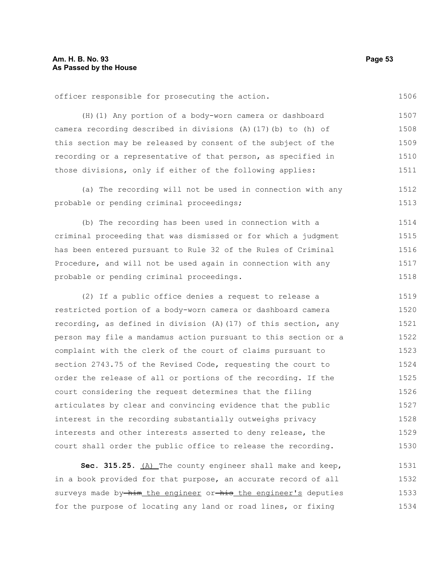#### officer responsible for prosecuting the action.

(H)(1) Any portion of a body-worn camera or dashboard camera recording described in divisions (A)(17)(b) to (h) of this section may be released by consent of the subject of the recording or a representative of that person, as specified in those divisions, only if either of the following applies: 1507 1508 1509 1510 1511

(a) The recording will not be used in connection with any probable or pending criminal proceedings;

(b) The recording has been used in connection with a criminal proceeding that was dismissed or for which a judgment has been entered pursuant to Rule 32 of the Rules of Criminal Procedure, and will not be used again in connection with any probable or pending criminal proceedings. 1514 1515 1516 1517 1518

(2) If a public office denies a request to release a restricted portion of a body-worn camera or dashboard camera recording, as defined in division  $(A)$  (17) of this section, any person may file a mandamus action pursuant to this section or a complaint with the clerk of the court of claims pursuant to section 2743.75 of the Revised Code, requesting the court to order the release of all or portions of the recording. If the court considering the request determines that the filing articulates by clear and convincing evidence that the public interest in the recording substantially outweighs privacy interests and other interests asserted to deny release, the court shall order the public office to release the recording. 1519 1520 1521 1522 1523 1524 1525 1526 1527 1528 1529 1530

Sec. 315.25. (A) The county engineer shall make and keep, in a book provided for that purpose, an accurate record of all surveys made by-him the engineer or-his the engineer's deputies for the purpose of locating any land or road lines, or fixing 1531 1532 1533 1534

1506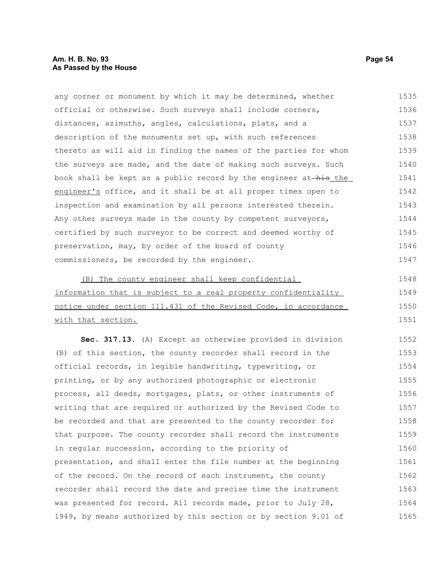any corner or monument by which it may be determined, whether official or otherwise. Such surveys shall include corners, distances, azimuths, angles, calculations, plats, and a description of the monuments set up, with such references thereto as will aid in finding the names of the parties for whom the surveys are made, and the date of making such surveys. Such book shall be kept as a public record by the engineer at-his the engineer's office, and it shall be at all proper times open to inspection and examination by all persons interested therein. Any other surveys made in the county by competent surveyors, certified by such surveyor to be correct and deemed worthy of preservation, may, by order of the board of county commissioners, be recorded by the engineer. (B) The county engineer shall keep confidential information that is subject to a real property confidentiality notice under section 111.431 of the Revised Code, in accordance with that section. **Sec. 317.13.** (A) Except as otherwise provided in division (B) of this section, the county recorder shall record in the official records, in legible handwriting, typewriting, or printing, or by any authorized photographic or electronic process, all deeds, mortgages, plats, or other instruments of writing that are required or authorized by the Revised Code to be recorded and that are presented to the county recorder for that purpose. The county recorder shall record the instruments in regular succession, according to the priority of presentation, and shall enter the file number at the beginning of the record. On the record of each instrument, the county recorder shall record the date and precise time the instrument was presented for record. All records made, prior to July 28, 1949, by means authorized by this section or by section 9.01 of 1535 1536 1537 1538 1539 1540 1541 1542 1543 1544 1545 1546 1547 1548 1549 1550 1551 1552 1553 1554 1555 1556 1557 1558 1559 1560 1561 1562 1563 1564 1565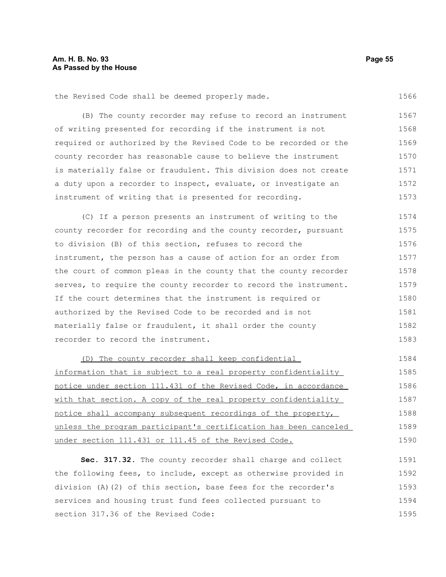the Revised Code shall be deemed properly made.

(B) The county recorder may refuse to record an instrument of writing presented for recording if the instrument is not required or authorized by the Revised Code to be recorded or the county recorder has reasonable cause to believe the instrument is materially false or fraudulent. This division does not create a duty upon a recorder to inspect, evaluate, or investigate an instrument of writing that is presented for recording. 1567 1568 1569 1570 1571 1572 1573

(C) If a person presents an instrument of writing to the county recorder for recording and the county recorder, pursuant to division (B) of this section, refuses to record the instrument, the person has a cause of action for an order from the court of common pleas in the county that the county recorder serves, to require the county recorder to record the instrument. If the court determines that the instrument is required or authorized by the Revised Code to be recorded and is not materially false or fraudulent, it shall order the county recorder to record the instrument. 1574 1575 1576 1577 1578 1579 1580 1581 1582 1583

(D) The county recorder shall keep confidential information that is subject to a real property confidentiality notice under section 111.431 of the Revised Code, in accordance with that section. A copy of the real property confidentiality notice shall accompany subsequent recordings of the property, unless the program participant's certification has been canceled under section 111.431 or 111.45 of the Revised Code. 1584 1585 1586 1587 1588 1589 1590

**Sec. 317.32.** The county recorder shall charge and collect the following fees, to include, except as otherwise provided in division (A)(2) of this section, base fees for the recorder's services and housing trust fund fees collected pursuant to section 317.36 of the Revised Code: 1591 1592 1593 1594 1595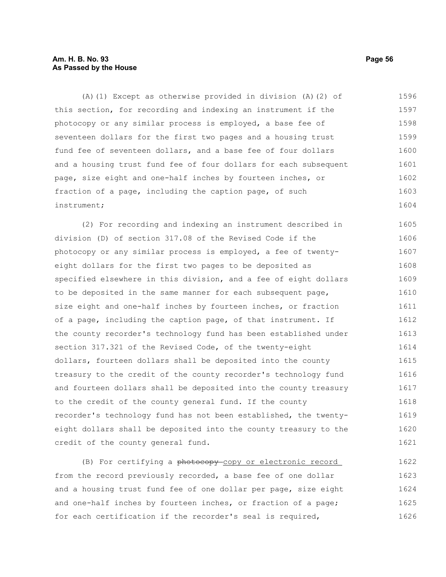### **Am. H. B. No. 93 Page 56 As Passed by the House**

(A)(1) Except as otherwise provided in division (A)(2) of this section, for recording and indexing an instrument if the photocopy or any similar process is employed, a base fee of seventeen dollars for the first two pages and a housing trust fund fee of seventeen dollars, and a base fee of four dollars and a housing trust fund fee of four dollars for each subsequent page, size eight and one-half inches by fourteen inches, or fraction of a page, including the caption page, of such instrument; 1596 1597 1598 1599 1600 1601 1602 1603 1604

(2) For recording and indexing an instrument described in division (D) of section 317.08 of the Revised Code if the photocopy or any similar process is employed, a fee of twentyeight dollars for the first two pages to be deposited as specified elsewhere in this division, and a fee of eight dollars to be deposited in the same manner for each subsequent page, size eight and one-half inches by fourteen inches, or fraction of a page, including the caption page, of that instrument. If the county recorder's technology fund has been established under section 317.321 of the Revised Code, of the twenty-eight dollars, fourteen dollars shall be deposited into the county treasury to the credit of the county recorder's technology fund and fourteen dollars shall be deposited into the county treasury to the credit of the county general fund. If the county recorder's technology fund has not been established, the twentyeight dollars shall be deposited into the county treasury to the credit of the county general fund. 1605 1606 1607 1608 1609 1610 1611 1612 1613 1614 1615 1616 1617 1618 1619 1620 1621

(B) For certifying a photocopy-copy or electronic record from the record previously recorded, a base fee of one dollar and a housing trust fund fee of one dollar per page, size eight and one-half inches by fourteen inches, or fraction of a page; for each certification if the recorder's seal is required, 1622 1623 1624 1625 1626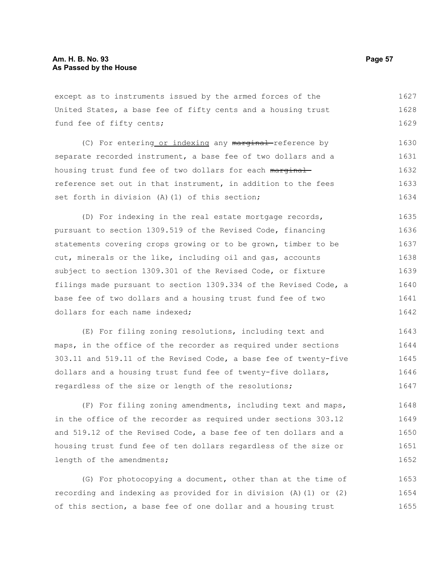except as to instruments issued by the armed forces of the United States, a base fee of fifty cents and a housing trust fund fee of fifty cents; 1627 1628 1629

(C) For entering or indexing any marginal reference by separate recorded instrument, a base fee of two dollars and a housing trust fund fee of two dollars for each marginal reference set out in that instrument, in addition to the fees set forth in division (A)(1) of this section; 1630 1631 1632 1633 1634

(D) For indexing in the real estate mortgage records, pursuant to section 1309.519 of the Revised Code, financing statements covering crops growing or to be grown, timber to be cut, minerals or the like, including oil and gas, accounts subject to section 1309.301 of the Revised Code, or fixture filings made pursuant to section 1309.334 of the Revised Code, a base fee of two dollars and a housing trust fund fee of two dollars for each name indexed: 1635 1636 1637 1638 1639 1640 1641 1642

(E) For filing zoning resolutions, including text and maps, in the office of the recorder as required under sections 303.11 and 519.11 of the Revised Code, a base fee of twenty-five dollars and a housing trust fund fee of twenty-five dollars, regardless of the size or length of the resolutions; 1643 1644 1645 1646 1647

(F) For filing zoning amendments, including text and maps, in the office of the recorder as required under sections 303.12 and 519.12 of the Revised Code, a base fee of ten dollars and a housing trust fund fee of ten dollars regardless of the size or length of the amendments; 1648 1649 1650 1651 1652

(G) For photocopying a document, other than at the time of recording and indexing as provided for in division (A)(1) or (2) of this section, a base fee of one dollar and a housing trust 1653 1654 1655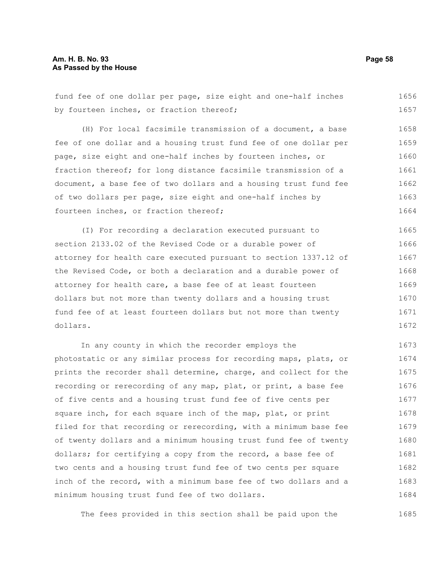#### **Am. H. B. No. 93 Page 58 As Passed by the House**

fund fee of one dollar per page, size eight and one-half inches by fourteen inches, or fraction thereof; 1656 1657

(H) For local facsimile transmission of a document, a base fee of one dollar and a housing trust fund fee of one dollar per page, size eight and one-half inches by fourteen inches, or fraction thereof; for long distance facsimile transmission of a document, a base fee of two dollars and a housing trust fund fee of two dollars per page, size eight and one-half inches by fourteen inches, or fraction thereof; 1658 1659 1660 1661 1662 1663 1664

(I) For recording a declaration executed pursuant to section 2133.02 of the Revised Code or a durable power of attorney for health care executed pursuant to section 1337.12 of the Revised Code, or both a declaration and a durable power of attorney for health care, a base fee of at least fourteen dollars but not more than twenty dollars and a housing trust fund fee of at least fourteen dollars but not more than twenty dollars. 1665 1666 1667 1668 1669 1670 1671 1672

In any county in which the recorder employs the photostatic or any similar process for recording maps, plats, or prints the recorder shall determine, charge, and collect for the recording or rerecording of any map, plat, or print, a base fee of five cents and a housing trust fund fee of five cents per square inch, for each square inch of the map, plat, or print filed for that recording or rerecording, with a minimum base fee of twenty dollars and a minimum housing trust fund fee of twenty dollars; for certifying a copy from the record, a base fee of two cents and a housing trust fund fee of two cents per square inch of the record, with a minimum base fee of two dollars and a minimum housing trust fund fee of two dollars. 1673 1674 1675 1676 1677 1678 1679 1680 1681 1682 1683 1684

The fees provided in this section shall be paid upon the 1685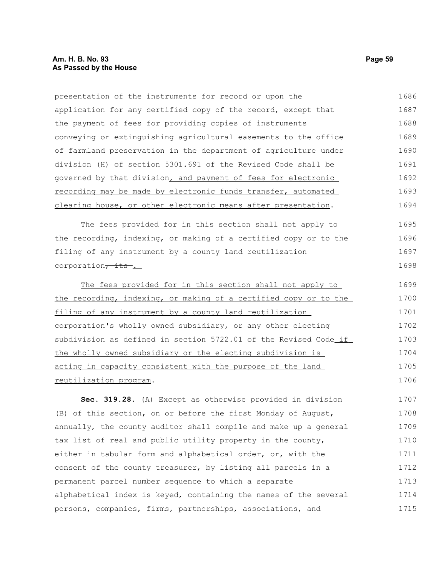presentation of the instruments for record or upon the application for any certified copy of the record, except that the payment of fees for providing copies of instruments conveying or extinguishing agricultural easements to the office of farmland preservation in the department of agriculture under division (H) of section 5301.691 of the Revised Code shall be governed by that division, and payment of fees for electronic recording may be made by electronic funds transfer, automated clearing house, or other electronic means after presentation. The fees provided for in this section shall not apply to the recording, indexing, or making of a certified copy or to the filing of any instrument by a county land reutilization corporation<del>, its</del>. The fees provided for in this section shall not apply to the recording, indexing, or making of a certified copy or to the 1686 1687 1688 1689 1690 1691 1692 1693 1694 1695 1696 1697 1698 1699 1700

filing of any instrument by a county land reutilization  $corporation's$  wholly owned subsidiary, or any other electing subdivision as defined in section 5722.01 of the Revised Code\_if\_ the wholly owned subsidiary or the electing subdivision is acting in capacity consistent with the purpose of the land reutilization program. 1701 1702 1703 1704 1705 1706

**Sec. 319.28.** (A) Except as otherwise provided in division (B) of this section, on or before the first Monday of August, annually, the county auditor shall compile and make up a general tax list of real and public utility property in the county, either in tabular form and alphabetical order, or, with the consent of the county treasurer, by listing all parcels in a permanent parcel number sequence to which a separate alphabetical index is keyed, containing the names of the several persons, companies, firms, partnerships, associations, and 1707 1708 1709 1710 1711 1712 1713 1714 1715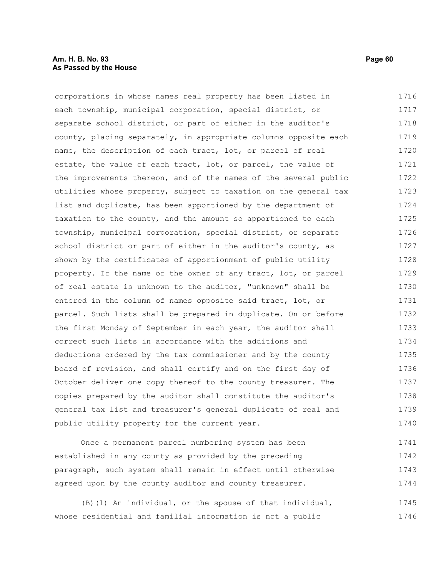#### **Am. H. B. No. 93 Page 60 As Passed by the House**

corporations in whose names real property has been listed in each township, municipal corporation, special district, or separate school district, or part of either in the auditor's county, placing separately, in appropriate columns opposite each name, the description of each tract, lot, or parcel of real estate, the value of each tract, lot, or parcel, the value of the improvements thereon, and of the names of the several public utilities whose property, subject to taxation on the general tax list and duplicate, has been apportioned by the department of taxation to the county, and the amount so apportioned to each township, municipal corporation, special district, or separate school district or part of either in the auditor's county, as shown by the certificates of apportionment of public utility property. If the name of the owner of any tract, lot, or parcel of real estate is unknown to the auditor, "unknown" shall be entered in the column of names opposite said tract, lot, or parcel. Such lists shall be prepared in duplicate. On or before the first Monday of September in each year, the auditor shall correct such lists in accordance with the additions and deductions ordered by the tax commissioner and by the county board of revision, and shall certify and on the first day of October deliver one copy thereof to the county treasurer. The copies prepared by the auditor shall constitute the auditor's general tax list and treasurer's general duplicate of real and public utility property for the current year. 1716 1717 1718 1719 1720 1721 1722 1723 1724 1725 1726 1727 1728 1729 1730 1731 1732 1733 1734 1735 1736 1737 1738 1739 1740

Once a permanent parcel numbering system has been established in any county as provided by the preceding paragraph, such system shall remain in effect until otherwise agreed upon by the county auditor and county treasurer. 1741 1742 1743 1744

(B)(1) An individual, or the spouse of that individual, whose residential and familial information is not a public 1745 1746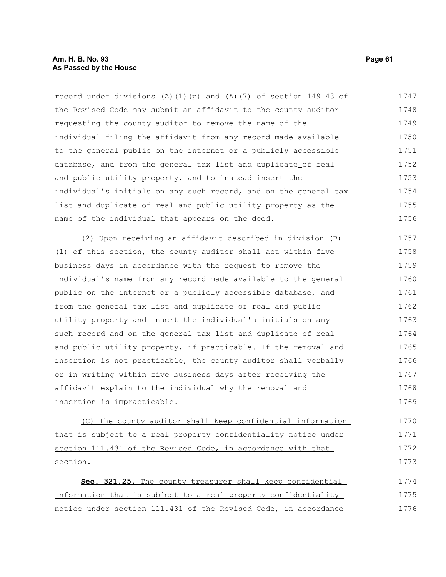record under divisions (A)(1)(p) and (A)(7) of section  $149.43$  of the Revised Code may submit an affidavit to the county auditor requesting the county auditor to remove the name of the individual filing the affidavit from any record made available to the general public on the internet or a publicly accessible database, and from the general tax list and duplicate of real and public utility property, and to instead insert the individual's initials on any such record, and on the general tax list and duplicate of real and public utility property as the name of the individual that appears on the deed. 1747 1748 1749 1750 1751 1752 1753 1754 1755 1756

(2) Upon receiving an affidavit described in division (B) (1) of this section, the county auditor shall act within five business days in accordance with the request to remove the individual's name from any record made available to the general public on the internet or a publicly accessible database, and from the general tax list and duplicate of real and public utility property and insert the individual's initials on any such record and on the general tax list and duplicate of real and public utility property, if practicable. If the removal and insertion is not practicable, the county auditor shall verbally or in writing within five business days after receiving the affidavit explain to the individual why the removal and insertion is impracticable. 1757 1758 1759 1760 1761 1762 1763 1764 1765 1766 1767 1768 1769

(C) The county auditor shall keep confidential information that is subject to a real property confidentiality notice under section 111.431 of the Revised Code, in accordance with that section. 1770 1771 1772 1773

Sec. 321.25. The county treasurer shall keep confidential information that is subject to a real property confidentiality notice under section 111.431 of the Revised Code, in accordance 1774 1775 1776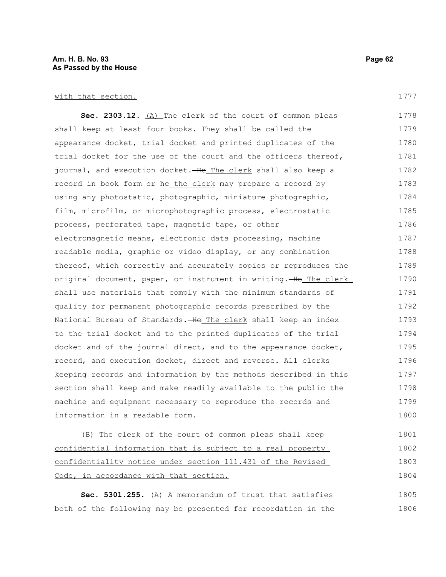1777

| Sec. 2303.12. (A) The clerk of the court of common pleas         | 1778 |  |  |  |  |  |  |  |
|------------------------------------------------------------------|------|--|--|--|--|--|--|--|
| shall keep at least four books. They shall be called the         | 1779 |  |  |  |  |  |  |  |
| appearance docket, trial docket and printed duplicates of the    |      |  |  |  |  |  |  |  |
| trial docket for the use of the court and the officers thereof,  | 1781 |  |  |  |  |  |  |  |
| journal, and execution docket. He The clerk shall also keep a    | 1782 |  |  |  |  |  |  |  |
| record in book form or-he the clerk may prepare a record by      | 1783 |  |  |  |  |  |  |  |
| using any photostatic, photographic, miniature photographic,     | 1784 |  |  |  |  |  |  |  |
| film, microfilm, or microphotographic process, electrostatic     | 1785 |  |  |  |  |  |  |  |
| process, perforated tape, magnetic tape, or other                | 1786 |  |  |  |  |  |  |  |
| electromagnetic means, electronic data processing, machine       | 1787 |  |  |  |  |  |  |  |
| readable media, graphic or video display, or any combination     | 1788 |  |  |  |  |  |  |  |
| thereof, which correctly and accurately copies or reproduces the | 1789 |  |  |  |  |  |  |  |
| original document, paper, or instrument in writing. He The clerk | 1790 |  |  |  |  |  |  |  |
| shall use materials that comply with the minimum standards of    | 1791 |  |  |  |  |  |  |  |
| quality for permanent photographic records prescribed by the     | 1792 |  |  |  |  |  |  |  |
| National Bureau of Standards. He The clerk shall keep an index   | 1793 |  |  |  |  |  |  |  |
| to the trial docket and to the printed duplicates of the trial   | 1794 |  |  |  |  |  |  |  |
| docket and of the journal direct, and to the appearance docket,  | 1795 |  |  |  |  |  |  |  |
| record, and execution docket, direct and reverse. All clerks     | 1796 |  |  |  |  |  |  |  |
| keeping records and information by the methods described in this | 1797 |  |  |  |  |  |  |  |
| section shall keep and make readily available to the public the  | 1798 |  |  |  |  |  |  |  |
| machine and equipment necessary to reproduce the records and     | 1799 |  |  |  |  |  |  |  |
| information in a readable form.                                  | 1800 |  |  |  |  |  |  |  |
| The clerk of the court of common pleas shall keep<br>(B)         | 1801 |  |  |  |  |  |  |  |

| THE CICIN OF CHO COMED OF COMMON NICAS SHATT ROOP           | ᅩ◡◡∸ |
|-------------------------------------------------------------|------|
| confidential information that is subject to a real property | 1802 |
| confidentiality notice under section 111.431 of the Revised | 1803 |
| Code, in accordance with that section.                      | 1804 |

**Sec. 5301.255.** (A) A memorandum of trust that satisfies both of the following may be presented for recordation in the 1805 1806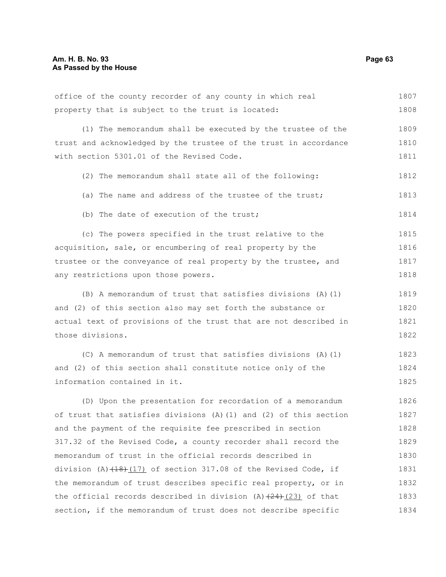| office of the county recorder of any county in which real        |      |  |  |  |  |
|------------------------------------------------------------------|------|--|--|--|--|
| property that is subject to the trust is located:                | 1808 |  |  |  |  |
| (1) The memorandum shall be executed by the trustee of the       | 1809 |  |  |  |  |
| trust and acknowledged by the trustee of the trust in accordance | 1810 |  |  |  |  |
| with section 5301.01 of the Revised Code.                        | 1811 |  |  |  |  |
| (2) The memorandum shall state all of the following:             | 1812 |  |  |  |  |
| (a) The name and address of the trustee of the trust;            | 1813 |  |  |  |  |
| (b) The date of execution of the trust;                          | 1814 |  |  |  |  |
| (c) The powers specified in the trust relative to the            | 1815 |  |  |  |  |
| acquisition, sale, or encumbering of real property by the        | 1816 |  |  |  |  |
| trustee or the conveyance of real property by the trustee, and   | 1817 |  |  |  |  |
| any restrictions upon those powers.                              | 1818 |  |  |  |  |
| (B) A memorandum of trust that satisfies divisions (A) (1)       | 1819 |  |  |  |  |
| and (2) of this section also may set forth the substance or      | 1820 |  |  |  |  |
| actual text of provisions of the trust that are not described in | 1821 |  |  |  |  |
| those divisions.                                                 | 1822 |  |  |  |  |
| (C) A memorandum of trust that satisfies divisions (A) (1)       | 1823 |  |  |  |  |

and (2) of this section shall constitute notice only of the information contained in it. 1824 1825

(D) Upon the presentation for recordation of a memorandum of trust that satisfies divisions (A)(1) and (2) of this section and the payment of the requisite fee prescribed in section 317.32 of the Revised Code, a county recorder shall record the memorandum of trust in the official records described in division (A) $(18)(17)$  of section 317.08 of the Revised Code, if the memorandum of trust describes specific real property, or in the official records described in division (A) $(24)$ (23) of that section, if the memorandum of trust does not describe specific 1826 1827 1828 1829 1830 1831 1832 1833 1834